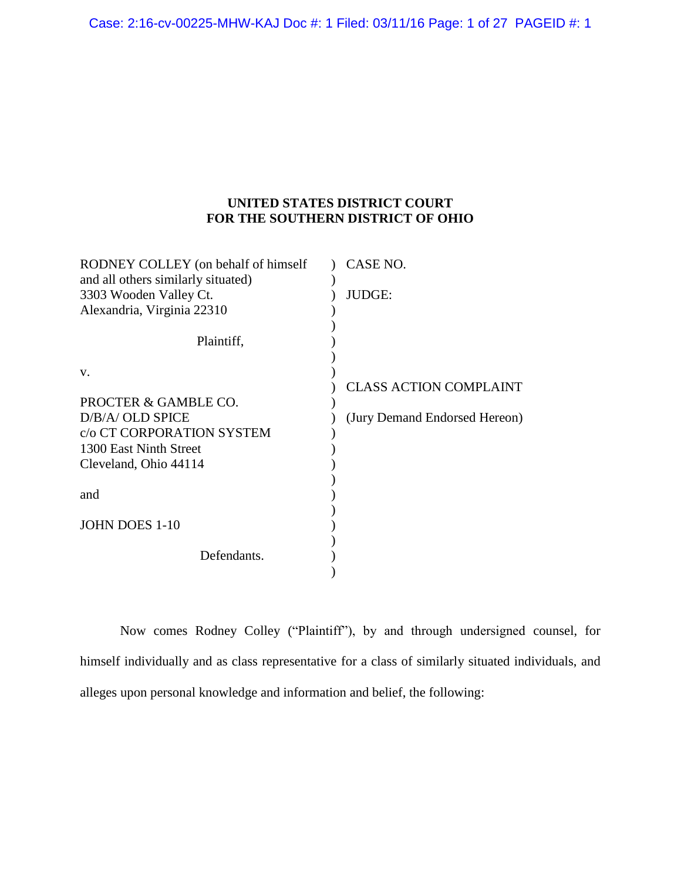## **UNITED STATES DISTRICT COURT FOR THE SOUTHERN DISTRICT OF OHIO**

| RODNEY COLLEY (on behalf of himself) | CASE NO.                      |
|--------------------------------------|-------------------------------|
| and all others similarly situated)   |                               |
| 3303 Wooden Valley Ct.               | JUDGE:                        |
| Alexandria, Virginia 22310           |                               |
|                                      |                               |
| Plaintiff,                           |                               |
|                                      |                               |
| V.                                   |                               |
|                                      | <b>CLASS ACTION COMPLAINT</b> |
| PROCTER & GAMBLE CO.                 |                               |
| D/B/A/ OLD SPICE                     | (Jury Demand Endorsed Hereon) |
| c/o CT CORPORATION SYSTEM            |                               |
| 1300 East Ninth Street               |                               |
| Cleveland, Ohio 44114                |                               |
|                                      |                               |
| and                                  |                               |
|                                      |                               |
| JOHN DOES 1-10                       |                               |
|                                      |                               |
| Defendants.                          |                               |
|                                      |                               |

Now comes Rodney Colley ("Plaintiff"), by and through undersigned counsel, for himself individually and as class representative for a class of similarly situated individuals, and alleges upon personal knowledge and information and belief, the following: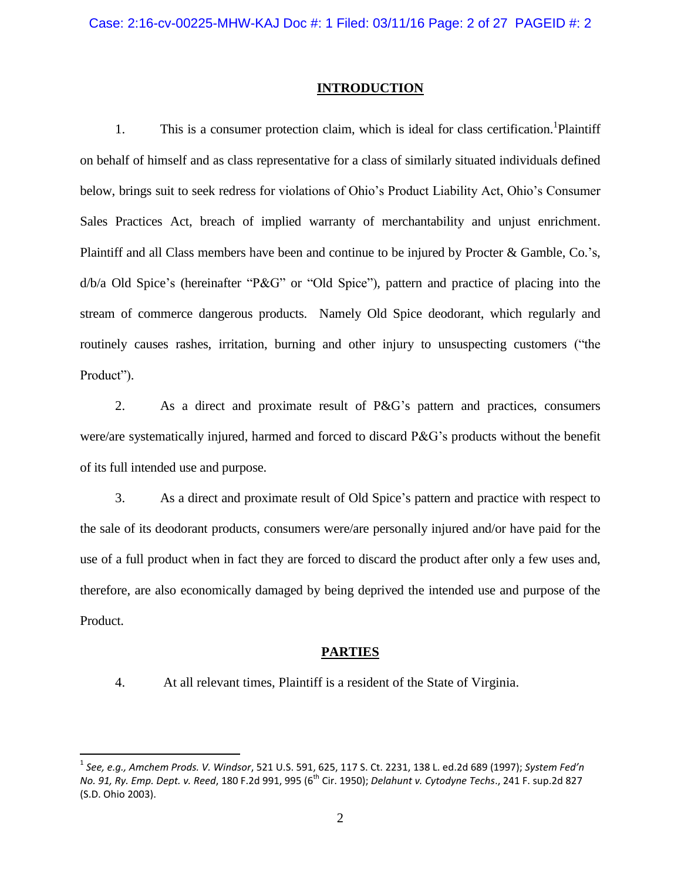#### **INTRODUCTION**

1. This is a consumer protection claim, which is ideal for class certification.<sup>1</sup>Plaintiff on behalf of himself and as class representative for a class of similarly situated individuals defined below, brings suit to seek redress for violations of Ohio's Product Liability Act, Ohio's Consumer Sales Practices Act, breach of implied warranty of merchantability and unjust enrichment. Plaintiff and all Class members have been and continue to be injured by Procter & Gamble, Co.'s, d/b/a Old Spice's (hereinafter "P&G" or "Old Spice"), pattern and practice of placing into the stream of commerce dangerous products. Namely Old Spice deodorant, which regularly and routinely causes rashes, irritation, burning and other injury to unsuspecting customers ("the Product").

2. As a direct and proximate result of P&G's pattern and practices, consumers were/are systematically injured, harmed and forced to discard P&G's products without the benefit of its full intended use and purpose.

3. As a direct and proximate result of Old Spice's pattern and practice with respect to the sale of its deodorant products, consumers were/are personally injured and/or have paid for the use of a full product when in fact they are forced to discard the product after only a few uses and, therefore, are also economically damaged by being deprived the intended use and purpose of the Product.

### **PARTIES**

 $\overline{\phantom{a}}$ 

4. At all relevant times, Plaintiff is a resident of the State of Virginia.

<sup>1</sup> *See, e.g., Amchem Prods. V. Windsor*, 521 U.S. 591, 625, 117 S. Ct. 2231, 138 L. ed.2d 689 (1997); *System Fed'n No. 91, Ry. Emp. Dept. v. Reed*, 180 F.2d 991, 995 (6th Cir. 1950); *Delahunt v. Cytodyne Techs*., 241 F. sup.2d 827 (S.D. Ohio 2003).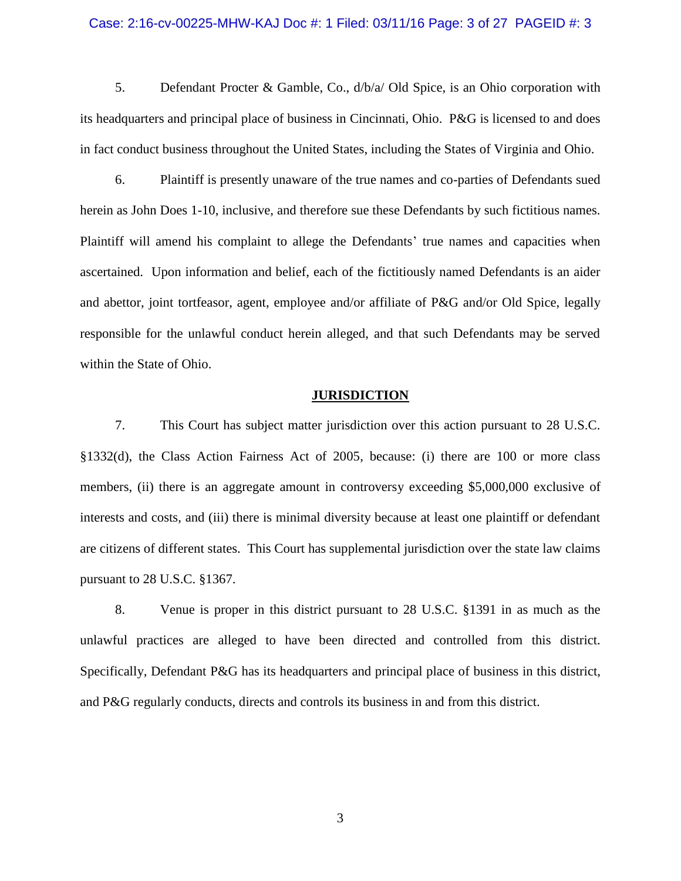#### Case: 2:16-cv-00225-MHW-KAJ Doc #: 1 Filed: 03/11/16 Page: 3 of 27 PAGEID #: 3

5. Defendant Procter & Gamble, Co., d/b/a/ Old Spice, is an Ohio corporation with its headquarters and principal place of business in Cincinnati, Ohio. P&G is licensed to and does in fact conduct business throughout the United States, including the States of Virginia and Ohio.

6. Plaintiff is presently unaware of the true names and co-parties of Defendants sued herein as John Does 1-10, inclusive, and therefore sue these Defendants by such fictitious names. Plaintiff will amend his complaint to allege the Defendants' true names and capacities when ascertained. Upon information and belief, each of the fictitiously named Defendants is an aider and abettor, joint tortfeasor, agent, employee and/or affiliate of P&G and/or Old Spice, legally responsible for the unlawful conduct herein alleged, and that such Defendants may be served within the State of Ohio.

#### **JURISDICTION**

7. This Court has subject matter jurisdiction over this action pursuant to 28 U.S.C. §1332(d), the Class Action Fairness Act of 2005, because: (i) there are 100 or more class members, (ii) there is an aggregate amount in controversy exceeding \$5,000,000 exclusive of interests and costs, and (iii) there is minimal diversity because at least one plaintiff or defendant are citizens of different states. This Court has supplemental jurisdiction over the state law claims pursuant to 28 U.S.C. §1367.

8. Venue is proper in this district pursuant to 28 U.S.C. §1391 in as much as the unlawful practices are alleged to have been directed and controlled from this district. Specifically, Defendant P&G has its headquarters and principal place of business in this district, and P&G regularly conducts, directs and controls its business in and from this district.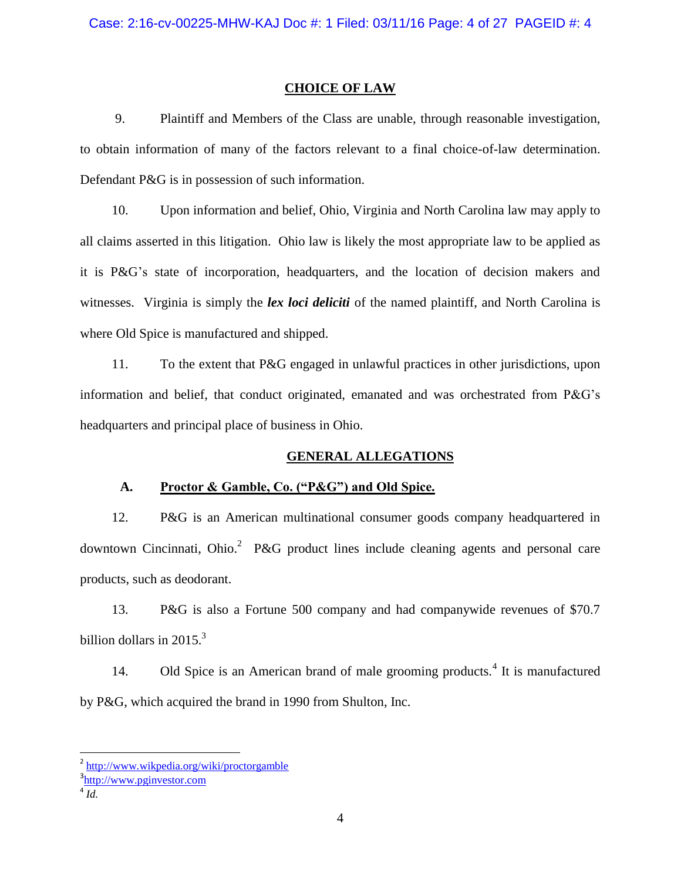#### **CHOICE OF LAW**

9. Plaintiff and Members of the Class are unable, through reasonable investigation, to obtain information of many of the factors relevant to a final choice-of-law determination. Defendant P&G is in possession of such information.

10. Upon information and belief, Ohio, Virginia and North Carolina law may apply to all claims asserted in this litigation. Ohio law is likely the most appropriate law to be applied as it is P&G's state of incorporation, headquarters, and the location of decision makers and witnesses. Virginia is simply the *lex loci deliciti* of the named plaintiff, and North Carolina is where Old Spice is manufactured and shipped.

11. To the extent that P&G engaged in unlawful practices in other jurisdictions, upon information and belief, that conduct originated, emanated and was orchestrated from P&G's headquarters and principal place of business in Ohio.

### **GENERAL ALLEGATIONS**

### **A. Proctor & Gamble, Co. ("P&G") and Old Spice.**

12. P&G is an American multinational consumer goods company headquartered in downtown Cincinnati, Ohio.<sup>2</sup> P&G product lines include cleaning agents and personal care products, such as deodorant.

13. P&G is also a Fortune 500 company and had companywide revenues of \$70.7 billion dollars in  $2015<sup>3</sup>$ 

14. Old Spice is an American brand of male grooming products.<sup>4</sup> It is manufactured by P&G, which acquired the brand in 1990 from Shulton, Inc.

 $\overline{\phantom{a}}$ 

<sup>&</sup>lt;sup>2</sup> <http://www.wikpedia.org/wiki/proctorgamble>

<sup>&</sup>lt;sup>3</sup>[http://www.pginvestor.com](http://www.pginvestor.com/)

<sup>4</sup> *Id.*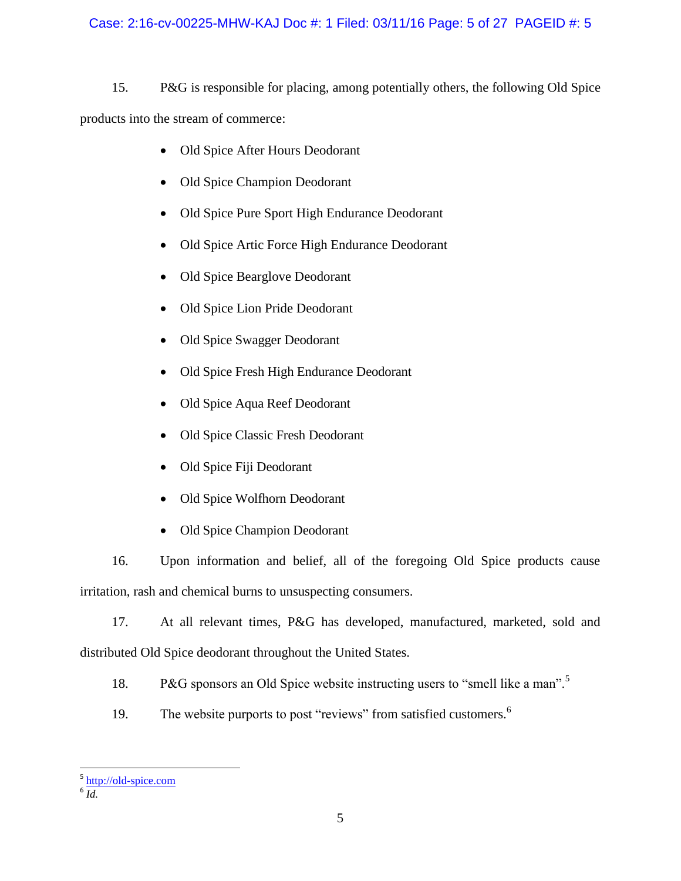### Case: 2:16-cv-00225-MHW-KAJ Doc #: 1 Filed: 03/11/16 Page: 5 of 27 PAGEID #: 5

15. P&G is responsible for placing, among potentially others, the following Old Spice products into the stream of commerce:

- Old Spice After Hours Deodorant
- Old Spice Champion Deodorant
- Old Spice Pure Sport High Endurance Deodorant
- Old Spice Artic Force High Endurance Deodorant
- Old Spice Bearglove Deodorant
- Old Spice Lion Pride Deodorant
- Old Spice Swagger Deodorant
- Old Spice Fresh High Endurance Deodorant
- Old Spice Aqua Reef Deodorant
- Old Spice Classic Fresh Deodorant
- Old Spice Fiji Deodorant
- Old Spice Wolfhorn Deodorant
- Old Spice Champion Deodorant

16. Upon information and belief, all of the foregoing Old Spice products cause irritation, rash and chemical burns to unsuspecting consumers.

17. At all relevant times, P&G has developed, manufactured, marketed, sold and distributed Old Spice deodorant throughout the United States.

18. P&G sponsors an Old Spice website instructing users to "smell like a man".<sup>5</sup>

19. The website purports to post "reviews" from satisfied customers.<sup>6</sup>

 5 [http://old-spice.com](http://old-spice.com/) 6 *Id.*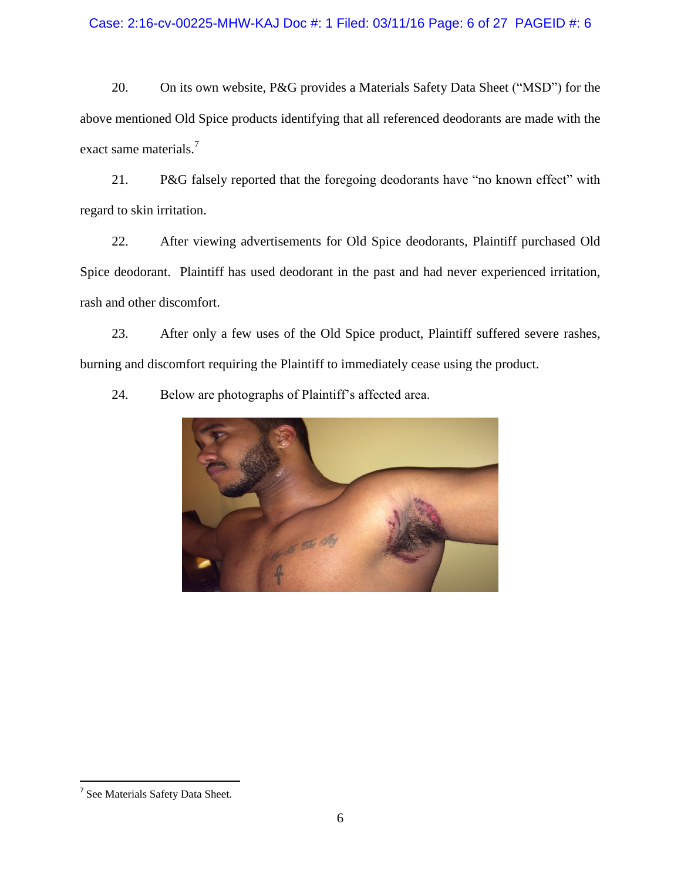### Case: 2:16-cv-00225-MHW-KAJ Doc #: 1 Filed: 03/11/16 Page: 6 of 27 PAGEID #: 6

20. On its own website, P&G provides a Materials Safety Data Sheet ("MSD") for the above mentioned Old Spice products identifying that all referenced deodorants are made with the exact same materials.<sup>7</sup>

21. P&G falsely reported that the foregoing deodorants have "no known effect" with regard to skin irritation.

22. After viewing advertisements for Old Spice deodorants, Plaintiff purchased Old Spice deodorant. Plaintiff has used deodorant in the past and had never experienced irritation, rash and other discomfort.

23. After only a few uses of the Old Spice product, Plaintiff suffered severe rashes, burning and discomfort requiring the Plaintiff to immediately cease using the product.



24. Below are photographs of Plaintiff's affected area.

 $\overline{\phantom{a}}$ 

<sup>&</sup>lt;sup>7</sup> See Materials Safety Data Sheet.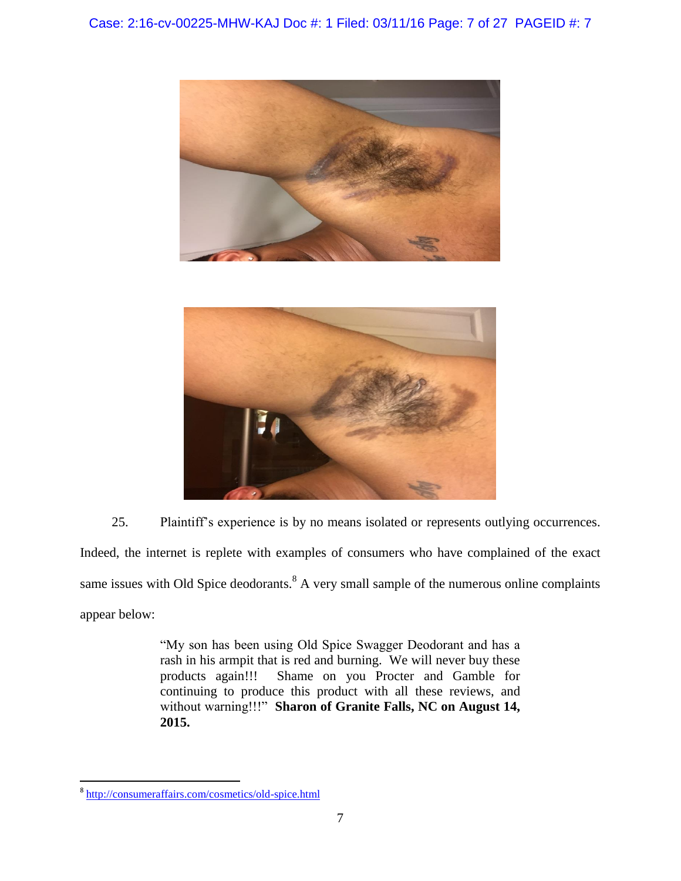



25. Plaintiff's experience is by no means isolated or represents outlying occurrences. Indeed, the internet is replete with examples of consumers who have complained of the exact same issues with Old Spice deodorants.<sup>8</sup> A very small sample of the numerous online complaints appear below:

> "My son has been using Old Spice Swagger Deodorant and has a rash in his armpit that is red and burning. We will never buy these products again!!! Shame on you Procter and Gamble for continuing to produce this product with all these reviews, and without warning!!!" **Sharon of Granite Falls, NC on August 14, 2015.**

 $\overline{\phantom{a}}$ 

<sup>&</sup>lt;sup>8</sup> <http://consumeraffairs.com/cosmetics/old-spice.html>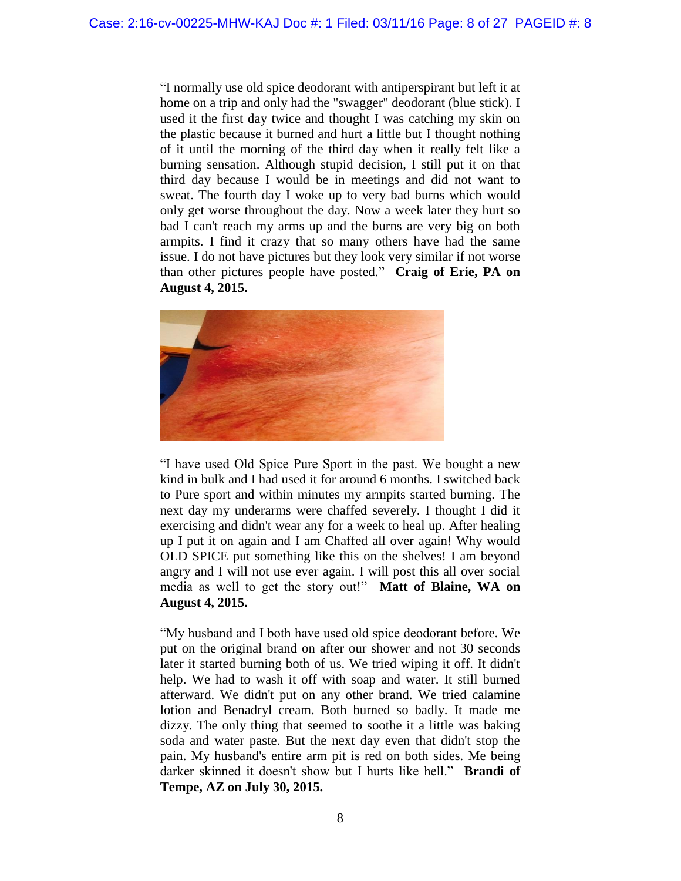"I normally use old spice deodorant with antiperspirant but left it at home on a trip and only had the "swagger" deodorant (blue stick). I used it the first day twice and thought I was catching my skin on the plastic because it burned and hurt a little but I thought nothing of it until the morning of the third day when it really felt like a burning sensation. Although stupid decision, I still put it on that third day because I would be in meetings and did not want to sweat. The fourth day I woke up to very bad burns which would only get worse throughout the day. Now a week later they hurt so bad I can't reach my arms up and the burns are very big on both armpits. I find it crazy that so many others have had the same issue. I do not have pictures but they look very similar if not worse than other pictures people have posted." **Craig of Erie, PA on August 4, 2015.**



"I have used Old Spice Pure Sport in the past. We bought a new kind in bulk and I had used it for around 6 months. I switched back to Pure sport and within minutes my armpits started burning. The next day my underarms were chaffed severely. I thought I did it exercising and didn't wear any for a week to heal up. After healing up I put it on again and I am Chaffed all over again! Why would OLD SPICE put something like this on the shelves! I am beyond angry and I will not use ever again. I will post this all over social media as well to get the story out!" **Matt of Blaine, WA on August 4, 2015.**

"My husband and I both have used old spice deodorant before. We put on the original brand on after our shower and not 30 seconds later it started burning both of us. We tried wiping it off. It didn't help. We had to wash it off with soap and water. It still burned afterward. We didn't put on any other brand. We tried calamine lotion and Benadryl cream. Both burned so badly. It made me dizzy. The only thing that seemed to soothe it a little was baking soda and water paste. But the next day even that didn't stop the pain. My husband's entire arm pit is red on both sides. Me being darker skinned it doesn't show but I hurts like hell." **Brandi of Tempe, AZ on July 30, 2015.**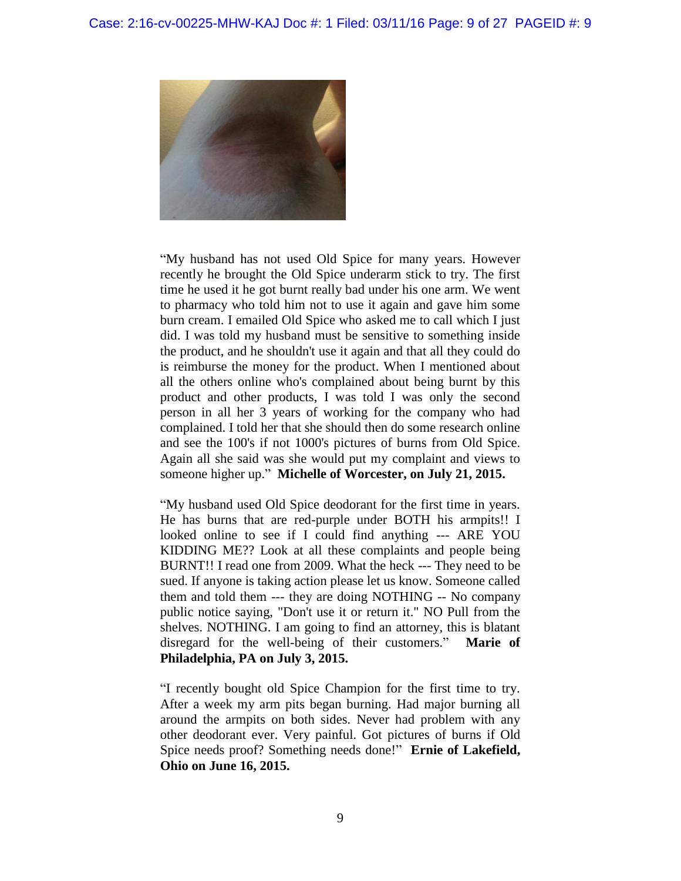

"My husband has not used Old Spice for many years. However recently he brought the Old Spice underarm stick to try. The first time he used it he got burnt really bad under his one arm. We went to pharmacy who told him not to use it again and gave him some burn cream. I emailed Old Spice who asked me to call which I just did. I was told my husband must be sensitive to something inside the product, and he shouldn't use it again and that all they could do is reimburse the money for the product. When I mentioned about all the others online who's complained about being burnt by this product and other products, I was told I was only the second person in all her 3 years of working for the company who had complained. I told her that she should then do some research online and see the 100's if not 1000's pictures of burns from Old Spice. Again all she said was she would put my complaint and views to someone higher up." **Michelle of Worcester, on July 21, 2015.**

"My husband used Old Spice deodorant for the first time in years. He has burns that are red-purple under BOTH his armpits!! I looked online to see if I could find anything --- ARE YOU KIDDING ME?? Look at all these complaints and people being BURNT!! I read one from 2009. What the heck --- They need to be sued. If anyone is taking action please let us know. Someone called them and told them --- they are doing NOTHING -- No company public notice saying, "Don't use it or return it." NO Pull from the shelves. NOTHING. I am going to find an attorney, this is blatant disregard for the well-being of their customers." **Marie of Philadelphia, PA on July 3, 2015.**

"I recently bought old Spice Champion for the first time to try. After a week my arm pits began burning. Had major burning all around the armpits on both sides. Never had problem with any other deodorant ever. Very painful. Got pictures of burns if Old Spice needs proof? Something needs done!" **Ernie of Lakefield, Ohio on June 16, 2015.**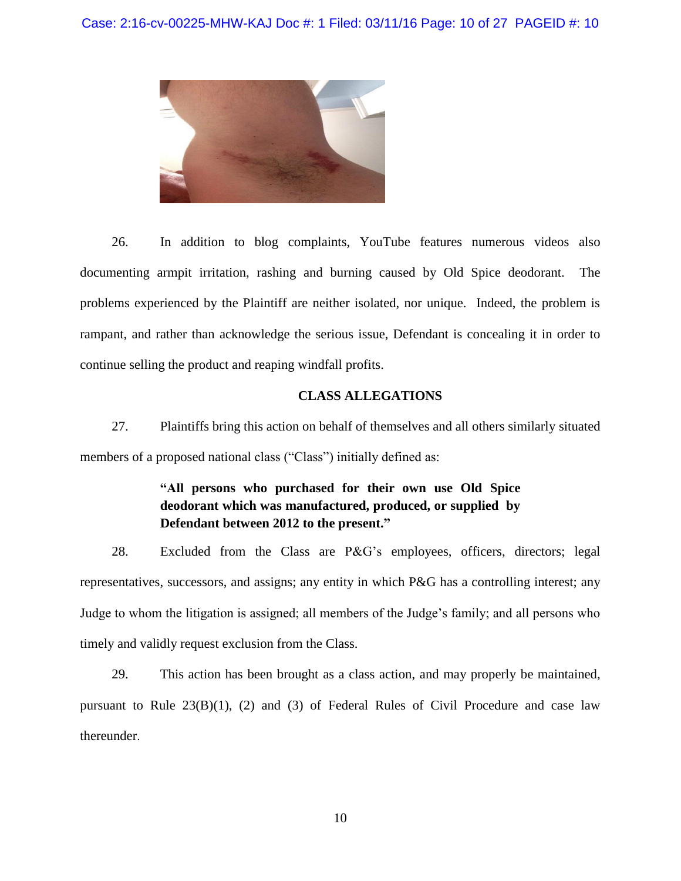

26. In addition to blog complaints, YouTube features numerous videos also documenting armpit irritation, rashing and burning caused by Old Spice deodorant. The problems experienced by the Plaintiff are neither isolated, nor unique. Indeed, the problem is rampant, and rather than acknowledge the serious issue, Defendant is concealing it in order to continue selling the product and reaping windfall profits.

### **CLASS ALLEGATIONS**

27. Plaintiffs bring this action on behalf of themselves and all others similarly situated members of a proposed national class ("Class") initially defined as:

# **"All persons who purchased for their own use Old Spice deodorant which was manufactured, produced, or supplied by Defendant between 2012 to the present."**

28. Excluded from the Class are P&G's employees, officers, directors; legal representatives, successors, and assigns; any entity in which P&G has a controlling interest; any Judge to whom the litigation is assigned; all members of the Judge's family; and all persons who timely and validly request exclusion from the Class.

29. This action has been brought as a class action, and may properly be maintained, pursuant to Rule 23(B)(1), (2) and (3) of Federal Rules of Civil Procedure and case law thereunder.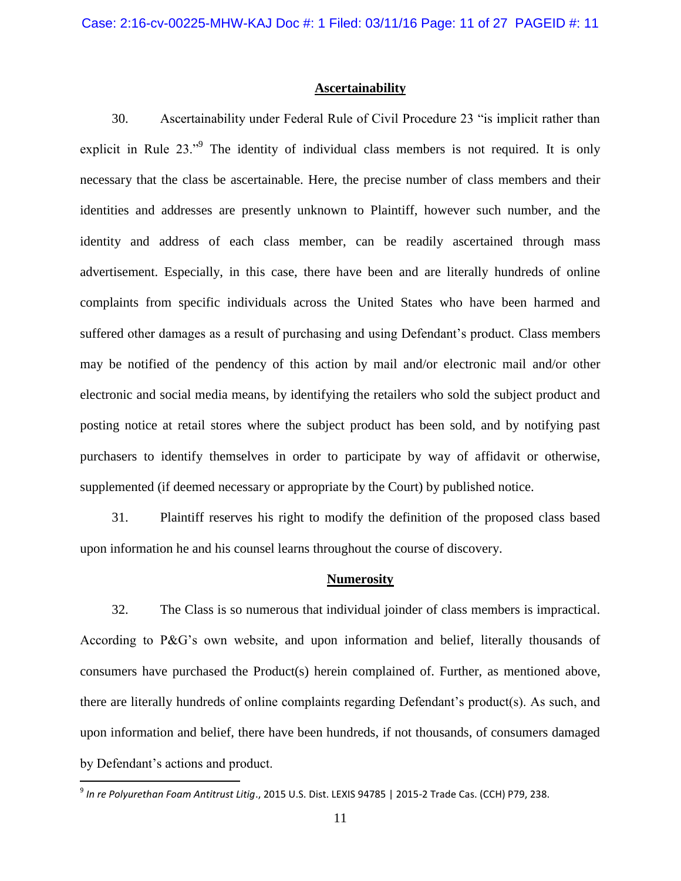### **Ascertainability**

30. Ascertainability under Federal Rule of Civil Procedure 23 "is implicit rather than explicit in Rule 23."<sup>9</sup> The identity of individual class members is not required. It is only necessary that the class be ascertainable. Here, the precise number of class members and their identities and addresses are presently unknown to Plaintiff, however such number, and the identity and address of each class member, can be readily ascertained through mass advertisement. Especially, in this case, there have been and are literally hundreds of online complaints from specific individuals across the United States who have been harmed and suffered other damages as a result of purchasing and using Defendant's product. Class members may be notified of the pendency of this action by mail and/or electronic mail and/or other electronic and social media means, by identifying the retailers who sold the subject product and posting notice at retail stores where the subject product has been sold, and by notifying past purchasers to identify themselves in order to participate by way of affidavit or otherwise, supplemented (if deemed necessary or appropriate by the Court) by published notice.

31. Plaintiff reserves his right to modify the definition of the proposed class based upon information he and his counsel learns throughout the course of discovery.

#### **Numerosity**

32. The Class is so numerous that individual joinder of class members is impractical. According to P&G's own website, and upon information and belief, literally thousands of consumers have purchased the Product(s) herein complained of. Further, as mentioned above, there are literally hundreds of online complaints regarding Defendant's product(s). As such, and upon information and belief, there have been hundreds, if not thousands, of consumers damaged by Defendant's actions and product.

 9 *In re Polyurethan Foam Antitrust Litig*., 2015 U.S. Dist. LEXIS 94785 | 2015-2 Trade Cas. (CCH) P79, 238.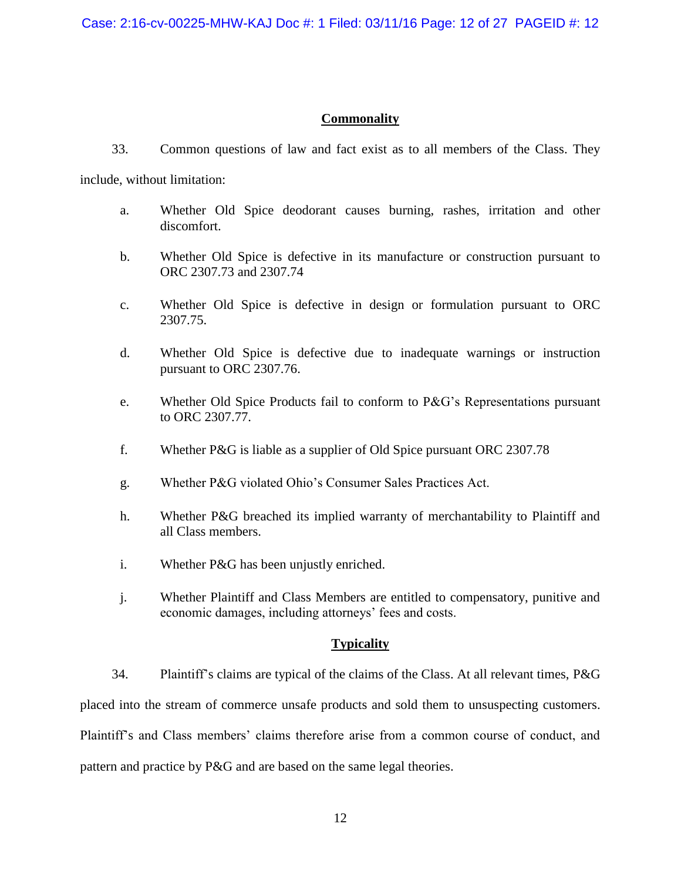## **Commonality**

- 33. Common questions of law and fact exist as to all members of the Class. They include, without limitation:
	- a. Whether Old Spice deodorant causes burning, rashes, irritation and other discomfort.
	- b. Whether Old Spice is defective in its manufacture or construction pursuant to ORC 2307.73 and 2307.74
	- c. Whether Old Spice is defective in design or formulation pursuant to ORC 2307.75.
	- d. Whether Old Spice is defective due to inadequate warnings or instruction pursuant to ORC 2307.76.
	- e. Whether Old Spice Products fail to conform to P&G's Representations pursuant to ORC 2307.77.
	- f. Whether P&G is liable as a supplier of Old Spice pursuant ORC 2307.78
	- g. Whether P&G violated Ohio's Consumer Sales Practices Act.
	- h. Whether P&G breached its implied warranty of merchantability to Plaintiff and all Class members.
	- i. Whether P&G has been unjustly enriched.
	- j. Whether Plaintiff and Class Members are entitled to compensatory, punitive and economic damages, including attorneys' fees and costs.

### **Typicality**

34. Plaintiff's claims are typical of the claims of the Class. At all relevant times, P&G placed into the stream of commerce unsafe products and sold them to unsuspecting customers. Plaintiff's and Class members' claims therefore arise from a common course of conduct, and pattern and practice by P&G and are based on the same legal theories.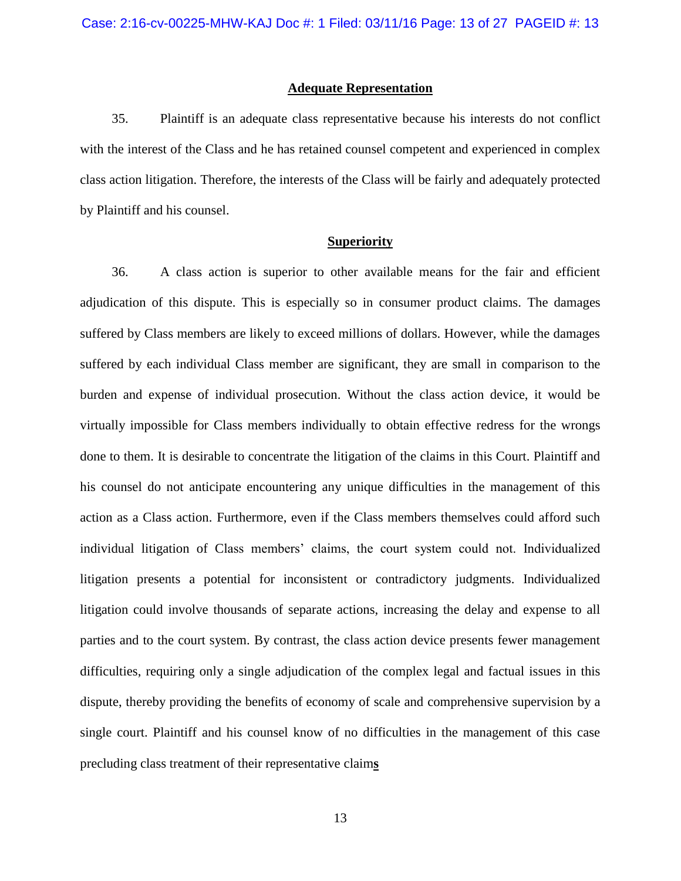### **Adequate Representation**

35. Plaintiff is an adequate class representative because his interests do not conflict with the interest of the Class and he has retained counsel competent and experienced in complex class action litigation. Therefore, the interests of the Class will be fairly and adequately protected by Plaintiff and his counsel.

### **Superiority**

36. A class action is superior to other available means for the fair and efficient adjudication of this dispute. This is especially so in consumer product claims. The damages suffered by Class members are likely to exceed millions of dollars. However, while the damages suffered by each individual Class member are significant, they are small in comparison to the burden and expense of individual prosecution. Without the class action device, it would be virtually impossible for Class members individually to obtain effective redress for the wrongs done to them. It is desirable to concentrate the litigation of the claims in this Court. Plaintiff and his counsel do not anticipate encountering any unique difficulties in the management of this action as a Class action. Furthermore, even if the Class members themselves could afford such individual litigation of Class members' claims, the court system could not. Individualized litigation presents a potential for inconsistent or contradictory judgments. Individualized litigation could involve thousands of separate actions, increasing the delay and expense to all parties and to the court system. By contrast, the class action device presents fewer management difficulties, requiring only a single adjudication of the complex legal and factual issues in this dispute, thereby providing the benefits of economy of scale and comprehensive supervision by a single court. Plaintiff and his counsel know of no difficulties in the management of this case precluding class treatment of their representative claim**s**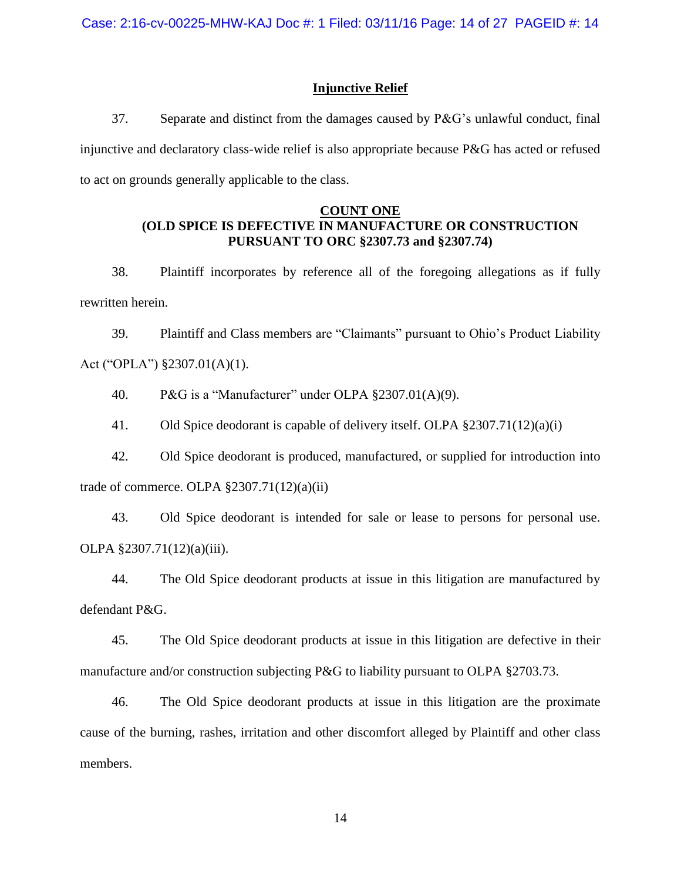### **Injunctive Relief**

37. Separate and distinct from the damages caused by P&G's unlawful conduct, final injunctive and declaratory class-wide relief is also appropriate because P&G has acted or refused to act on grounds generally applicable to the class.

### **COUNT ONE (OLD SPICE IS DEFECTIVE IN MANUFACTURE OR CONSTRUCTION PURSUANT TO ORC §2307.73 and §2307.74)**

38. Plaintiff incorporates by reference all of the foregoing allegations as if fully rewritten herein.

39. Plaintiff and Class members are "Claimants" pursuant to Ohio's Product Liability Act ("OPLA") §2307.01(A)(1).

40. P&G is a "Manufacturer" under OLPA §2307.01(A)(9).

41. Old Spice deodorant is capable of delivery itself. OLPA §2307.71(12)(a)(i)

42. Old Spice deodorant is produced, manufactured, or supplied for introduction into trade of commerce. OLPA  $\S 2307.71(12)(a)(ii)$ 

43. Old Spice deodorant is intended for sale or lease to persons for personal use. OLPA §2307.71(12)(a)(iii).

44. The Old Spice deodorant products at issue in this litigation are manufactured by defendant P&G.

45. The Old Spice deodorant products at issue in this litigation are defective in their manufacture and/or construction subjecting P&G to liability pursuant to OLPA §2703.73.

46. The Old Spice deodorant products at issue in this litigation are the proximate cause of the burning, rashes, irritation and other discomfort alleged by Plaintiff and other class members.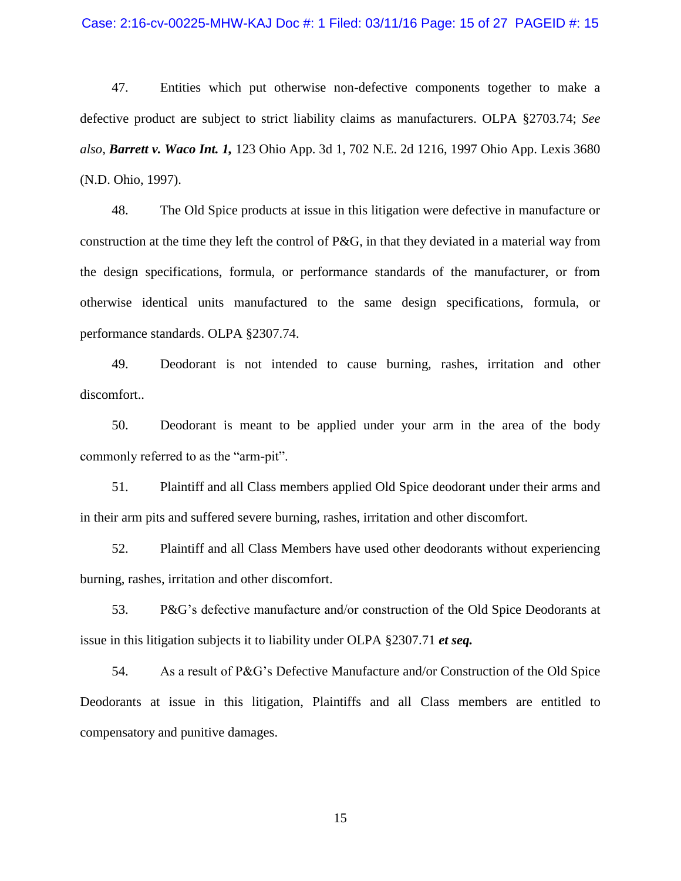#### Case: 2:16-cv-00225-MHW-KAJ Doc #: 1 Filed: 03/11/16 Page: 15 of 27 PAGEID #: 15

47. Entities which put otherwise non-defective components together to make a defective product are subject to strict liability claims as manufacturers. OLPA §2703.74; *See also, Barrett v. Waco Int. 1,* 123 Ohio App. 3d 1, 702 N.E. 2d 1216, 1997 Ohio App. Lexis 3680 (N.D. Ohio, 1997).

48. The Old Spice products at issue in this litigation were defective in manufacture or construction at the time they left the control of P&G, in that they deviated in a material way from the design specifications, formula, or performance standards of the manufacturer, or from otherwise identical units manufactured to the same design specifications, formula, or performance standards. OLPA §2307.74.

49. Deodorant is not intended to cause burning, rashes, irritation and other discomfort..

50. Deodorant is meant to be applied under your arm in the area of the body commonly referred to as the "arm-pit".

51. Plaintiff and all Class members applied Old Spice deodorant under their arms and in their arm pits and suffered severe burning, rashes, irritation and other discomfort.

52. Plaintiff and all Class Members have used other deodorants without experiencing burning, rashes, irritation and other discomfort.

53. P&G's defective manufacture and/or construction of the Old Spice Deodorants at issue in this litigation subjects it to liability under OLPA §2307.71 *et seq.*

54. As a result of P&G's Defective Manufacture and/or Construction of the Old Spice Deodorants at issue in this litigation, Plaintiffs and all Class members are entitled to compensatory and punitive damages.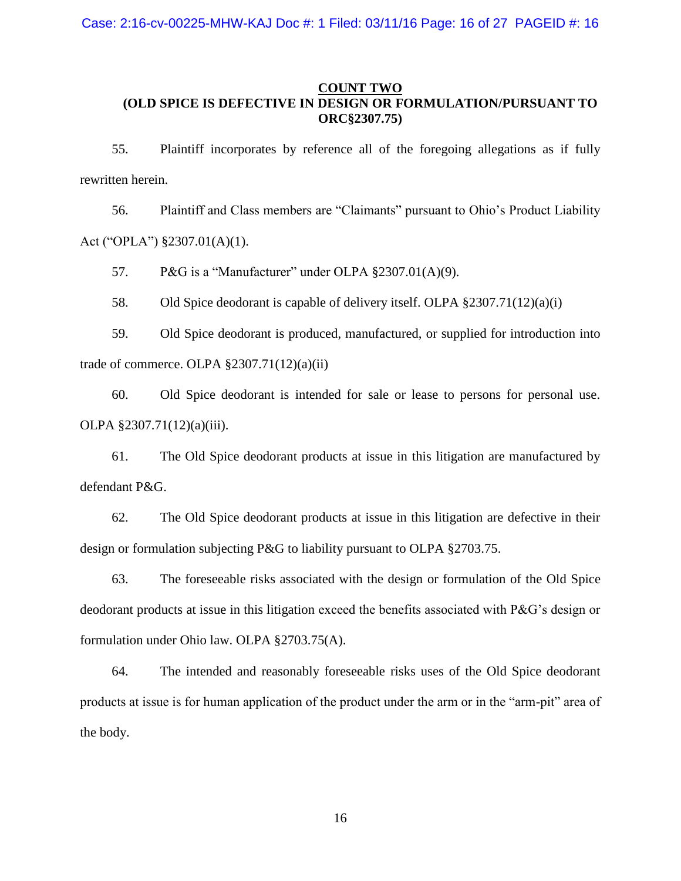### **COUNT TWO (OLD SPICE IS DEFECTIVE IN DESIGN OR FORMULATION/PURSUANT TO ORC§2307.75)**

55. Plaintiff incorporates by reference all of the foregoing allegations as if fully rewritten herein.

56. Plaintiff and Class members are "Claimants" pursuant to Ohio's Product Liability Act ("OPLA") §2307.01(A)(1).

57. P&G is a "Manufacturer" under OLPA §2307.01(A)(9).

58. Old Spice deodorant is capable of delivery itself. OLPA §2307.71(12)(a)(i)

59. Old Spice deodorant is produced, manufactured, or supplied for introduction into trade of commerce. OLPA  $\S 2307.71(12)(a)(ii)$ 

60. Old Spice deodorant is intended for sale or lease to persons for personal use. OLPA §2307.71(12)(a)(iii).

61. The Old Spice deodorant products at issue in this litigation are manufactured by defendant P&G.

62. The Old Spice deodorant products at issue in this litigation are defective in their design or formulation subjecting P&G to liability pursuant to OLPA §2703.75.

63. The foreseeable risks associated with the design or formulation of the Old Spice deodorant products at issue in this litigation exceed the benefits associated with P&G's design or formulation under Ohio law. OLPA §2703.75(A).

64. The intended and reasonably foreseeable risks uses of the Old Spice deodorant products at issue is for human application of the product under the arm or in the "arm-pit" area of the body.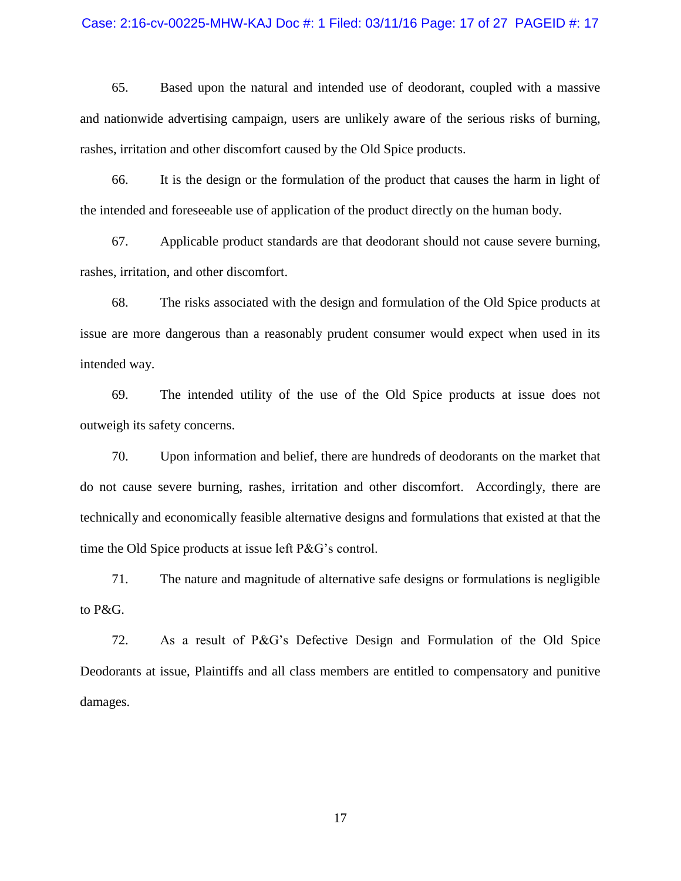#### Case: 2:16-cv-00225-MHW-KAJ Doc #: 1 Filed: 03/11/16 Page: 17 of 27 PAGEID #: 17

65. Based upon the natural and intended use of deodorant, coupled with a massive and nationwide advertising campaign, users are unlikely aware of the serious risks of burning, rashes, irritation and other discomfort caused by the Old Spice products.

66. It is the design or the formulation of the product that causes the harm in light of the intended and foreseeable use of application of the product directly on the human body.

67. Applicable product standards are that deodorant should not cause severe burning, rashes, irritation, and other discomfort.

68. The risks associated with the design and formulation of the Old Spice products at issue are more dangerous than a reasonably prudent consumer would expect when used in its intended way.

69. The intended utility of the use of the Old Spice products at issue does not outweigh its safety concerns.

70. Upon information and belief, there are hundreds of deodorants on the market that do not cause severe burning, rashes, irritation and other discomfort. Accordingly, there are technically and economically feasible alternative designs and formulations that existed at that the time the Old Spice products at issue left P&G's control.

71. The nature and magnitude of alternative safe designs or formulations is negligible to P&G.

72. As a result of P&G's Defective Design and Formulation of the Old Spice Deodorants at issue, Plaintiffs and all class members are entitled to compensatory and punitive damages.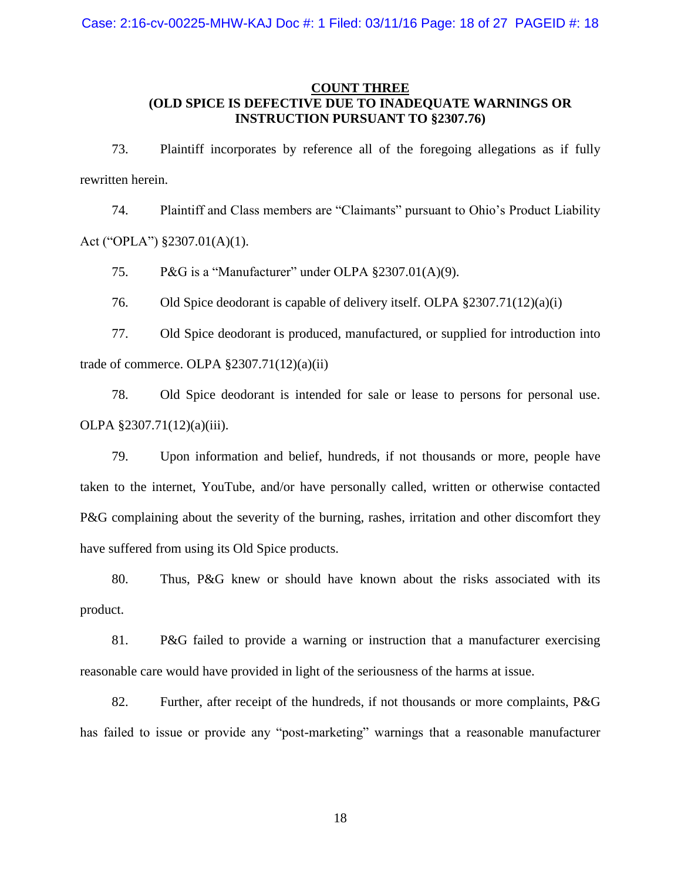### **COUNT THREE (OLD SPICE IS DEFECTIVE DUE TO INADEQUATE WARNINGS OR INSTRUCTION PURSUANT TO §2307.76)**

73. Plaintiff incorporates by reference all of the foregoing allegations as if fully rewritten herein.

74. Plaintiff and Class members are "Claimants" pursuant to Ohio's Product Liability Act ("OPLA") §2307.01(A)(1).

75. P&G is a "Manufacturer" under OLPA §2307.01(A)(9).

76. Old Spice deodorant is capable of delivery itself. OLPA §2307.71(12)(a)(i)

77. Old Spice deodorant is produced, manufactured, or supplied for introduction into trade of commerce. OLPA  $\S 2307.71(12)(a)(ii)$ 

78. Old Spice deodorant is intended for sale or lease to persons for personal use. OLPA §2307.71(12)(a)(iii).

79. Upon information and belief, hundreds, if not thousands or more, people have taken to the internet, YouTube, and/or have personally called, written or otherwise contacted P&G complaining about the severity of the burning, rashes, irritation and other discomfort they have suffered from using its Old Spice products.

80. Thus, P&G knew or should have known about the risks associated with its product.

81. P&G failed to provide a warning or instruction that a manufacturer exercising reasonable care would have provided in light of the seriousness of the harms at issue.

82. Further, after receipt of the hundreds, if not thousands or more complaints, P&G has failed to issue or provide any "post-marketing" warnings that a reasonable manufacturer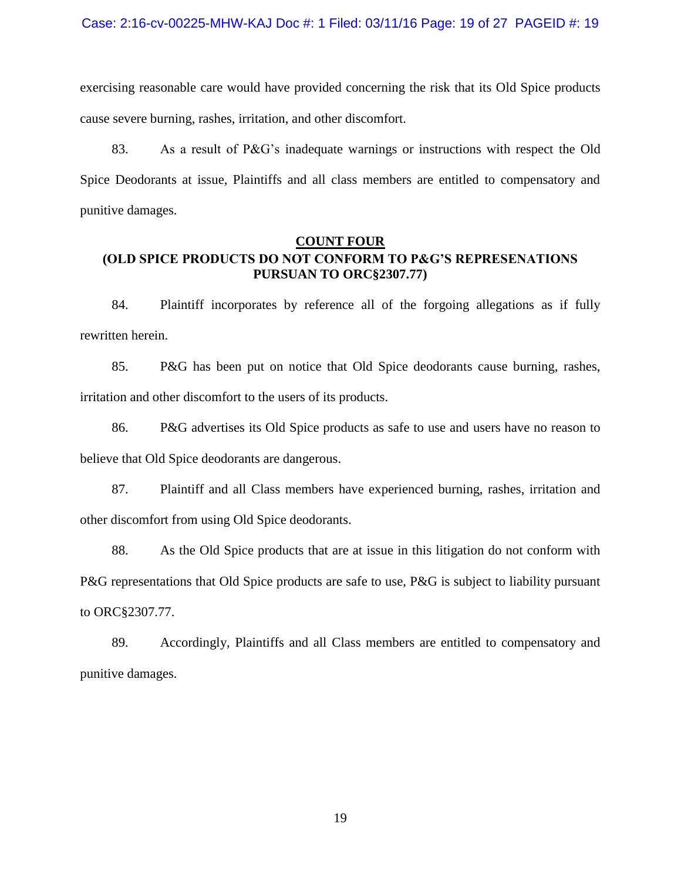exercising reasonable care would have provided concerning the risk that its Old Spice products cause severe burning, rashes, irritation, and other discomfort.

83. As a result of P&G's inadequate warnings or instructions with respect the Old Spice Deodorants at issue, Plaintiffs and all class members are entitled to compensatory and punitive damages.

## **COUNT FOUR (OLD SPICE PRODUCTS DO NOT CONFORM TO P&G'S REPRESENATIONS PURSUAN TO ORC§2307.77)**

84. Plaintiff incorporates by reference all of the forgoing allegations as if fully rewritten herein.

85. P&G has been put on notice that Old Spice deodorants cause burning, rashes, irritation and other discomfort to the users of its products.

86. P&G advertises its Old Spice products as safe to use and users have no reason to believe that Old Spice deodorants are dangerous.

87. Plaintiff and all Class members have experienced burning, rashes, irritation and other discomfort from using Old Spice deodorants.

88. As the Old Spice products that are at issue in this litigation do not conform with P&G representations that Old Spice products are safe to use, P&G is subject to liability pursuant to ORC§2307.77.

89. Accordingly, Plaintiffs and all Class members are entitled to compensatory and punitive damages.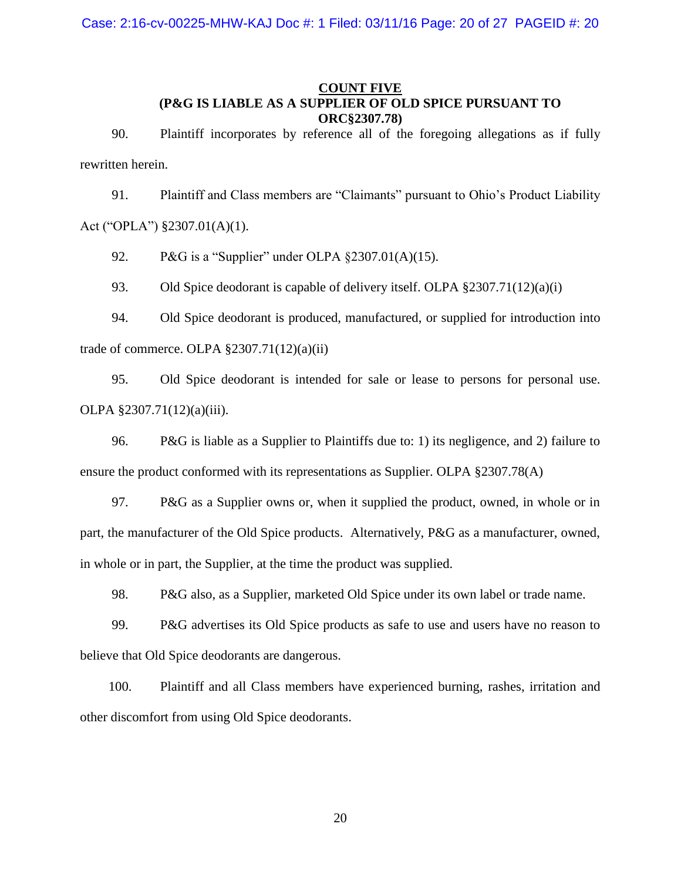## **COUNT FIVE (P&G IS LIABLE AS A SUPPLIER OF OLD SPICE PURSUANT TO ORC§2307.78)**

90. Plaintiff incorporates by reference all of the foregoing allegations as if fully rewritten herein.

91. Plaintiff and Class members are "Claimants" pursuant to Ohio's Product Liability Act ("OPLA") §2307.01(A)(1).

92. P&G is a "Supplier" under OLPA §2307.01(A)(15).

93. Old Spice deodorant is capable of delivery itself. OLPA §2307.71(12)(a)(i)

94. Old Spice deodorant is produced, manufactured, or supplied for introduction into trade of commerce. OLPA  $\S 2307.71(12)(a)(ii)$ 

95. Old Spice deodorant is intended for sale or lease to persons for personal use. OLPA §2307.71(12)(a)(iii).

96. P&G is liable as a Supplier to Plaintiffs due to: 1) its negligence, and 2) failure to ensure the product conformed with its representations as Supplier. OLPA §2307.78(A)

97. P&G as a Supplier owns or, when it supplied the product, owned, in whole or in part, the manufacturer of the Old Spice products. Alternatively, P&G as a manufacturer, owned, in whole or in part, the Supplier, at the time the product was supplied.

98. P&G also, as a Supplier, marketed Old Spice under its own label or trade name.

99. P&G advertises its Old Spice products as safe to use and users have no reason to believe that Old Spice deodorants are dangerous.

100. Plaintiff and all Class members have experienced burning, rashes, irritation and other discomfort from using Old Spice deodorants.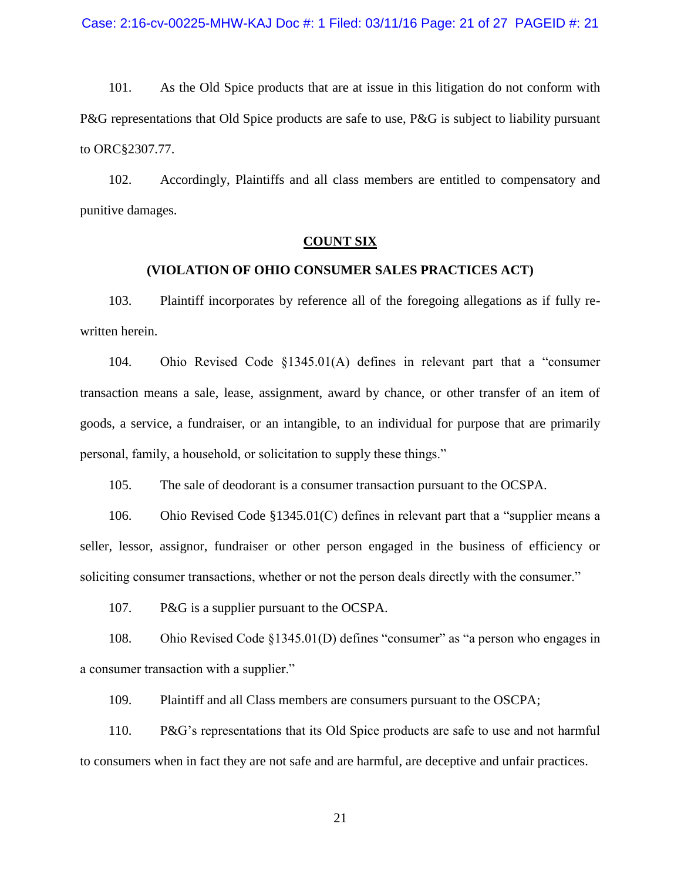101. As the Old Spice products that are at issue in this litigation do not conform with P&G representations that Old Spice products are safe to use, P&G is subject to liability pursuant to ORC§2307.77.

102. Accordingly, Plaintiffs and all class members are entitled to compensatory and punitive damages.

### **COUNT SIX**

### **(VIOLATION OF OHIO CONSUMER SALES PRACTICES ACT)**

103. Plaintiff incorporates by reference all of the foregoing allegations as if fully rewritten herein.

104. Ohio Revised Code §1345.01(A) defines in relevant part that a "consumer transaction means a sale, lease, assignment, award by chance, or other transfer of an item of goods, a service, a fundraiser, or an intangible, to an individual for purpose that are primarily personal, family, a household, or solicitation to supply these things."

105. The sale of deodorant is a consumer transaction pursuant to the OCSPA.

106. Ohio Revised Code §1345.01(C) defines in relevant part that a "supplier means a seller, lessor, assignor, fundraiser or other person engaged in the business of efficiency or soliciting consumer transactions, whether or not the person deals directly with the consumer."

107. P&G is a supplier pursuant to the OCSPA.

108. Ohio Revised Code §1345.01(D) defines "consumer" as "a person who engages in a consumer transaction with a supplier."

109. Plaintiff and all Class members are consumers pursuant to the OSCPA;

110. P&G's representations that its Old Spice products are safe to use and not harmful to consumers when in fact they are not safe and are harmful, are deceptive and unfair practices.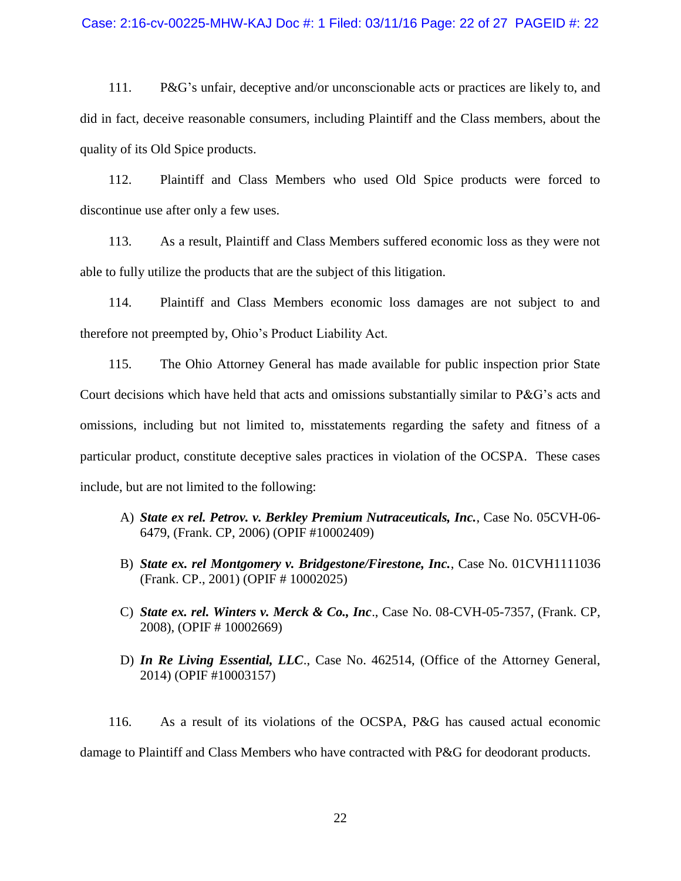#### Case: 2:16-cv-00225-MHW-KAJ Doc #: 1 Filed: 03/11/16 Page: 22 of 27 PAGEID #: 22

111. P&G's unfair, deceptive and/or unconscionable acts or practices are likely to, and did in fact, deceive reasonable consumers, including Plaintiff and the Class members, about the quality of its Old Spice products.

112. Plaintiff and Class Members who used Old Spice products were forced to discontinue use after only a few uses.

113. As a result, Plaintiff and Class Members suffered economic loss as they were not able to fully utilize the products that are the subject of this litigation.

114. Plaintiff and Class Members economic loss damages are not subject to and therefore not preempted by, Ohio's Product Liability Act.

115. The Ohio Attorney General has made available for public inspection prior State Court decisions which have held that acts and omissions substantially similar to P&G's acts and omissions, including but not limited to, misstatements regarding the safety and fitness of a particular product, constitute deceptive sales practices in violation of the OCSPA. These cases include, but are not limited to the following:

- A) *State ex rel. Petrov. v. Berkley Premium Nutraceuticals, Inc.*, Case No. 05CVH-06- 6479, (Frank. CP, 2006) (OPIF #10002409)
- B) *State ex. rel Montgomery v. Bridgestone/Firestone, Inc.*, Case No. 01CVH1111036 (Frank. CP., 2001) (OPIF # 10002025)
- C) *State ex. rel. Winters v. Merck & Co., Inc*., Case No. 08-CVH-05-7357, (Frank. CP, 2008), (OPIF # 10002669)
- D) *In Re Living Essential, LLC*., Case No. 462514, (Office of the Attorney General, 2014) (OPIF #10003157)

116. As a result of its violations of the OCSPA, P&G has caused actual economic damage to Plaintiff and Class Members who have contracted with P&G for deodorant products.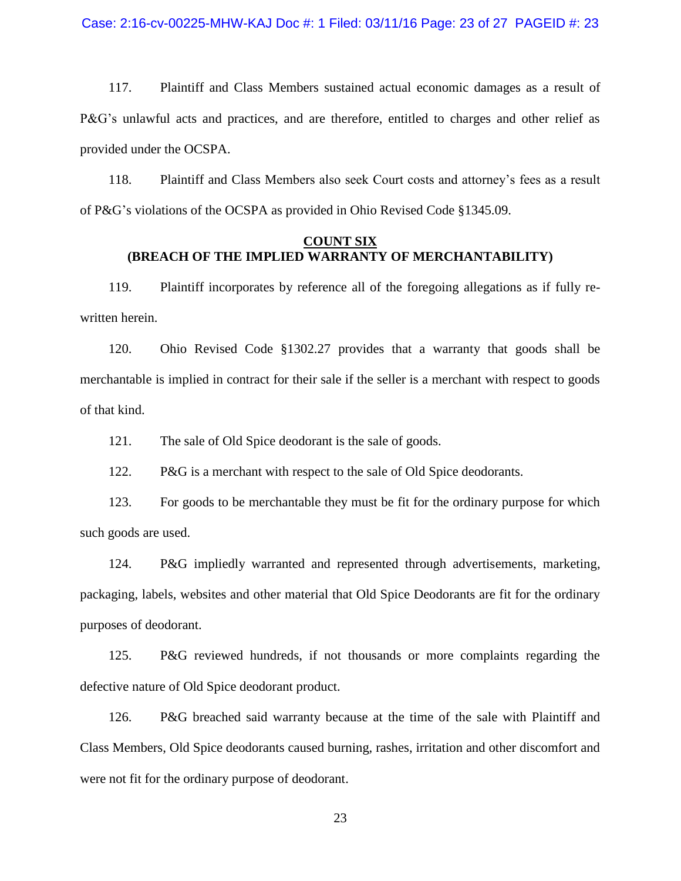117. Plaintiff and Class Members sustained actual economic damages as a result of P&G's unlawful acts and practices, and are therefore, entitled to charges and other relief as provided under the OCSPA.

118. Plaintiff and Class Members also seek Court costs and attorney's fees as a result of P&G's violations of the OCSPA as provided in Ohio Revised Code §1345.09.

### **COUNT SIX (BREACH OF THE IMPLIED WARRANTY OF MERCHANTABILITY)**

119. Plaintiff incorporates by reference all of the foregoing allegations as if fully rewritten herein.

120. Ohio Revised Code §1302.27 provides that a warranty that goods shall be merchantable is implied in contract for their sale if the seller is a merchant with respect to goods of that kind.

121. The sale of Old Spice deodorant is the sale of goods.

122. P&G is a merchant with respect to the sale of Old Spice deodorants.

123. For goods to be merchantable they must be fit for the ordinary purpose for which such goods are used.

124. P&G impliedly warranted and represented through advertisements, marketing, packaging, labels, websites and other material that Old Spice Deodorants are fit for the ordinary purposes of deodorant.

125. P&G reviewed hundreds, if not thousands or more complaints regarding the defective nature of Old Spice deodorant product.

126. P&G breached said warranty because at the time of the sale with Plaintiff and Class Members, Old Spice deodorants caused burning, rashes, irritation and other discomfort and were not fit for the ordinary purpose of deodorant.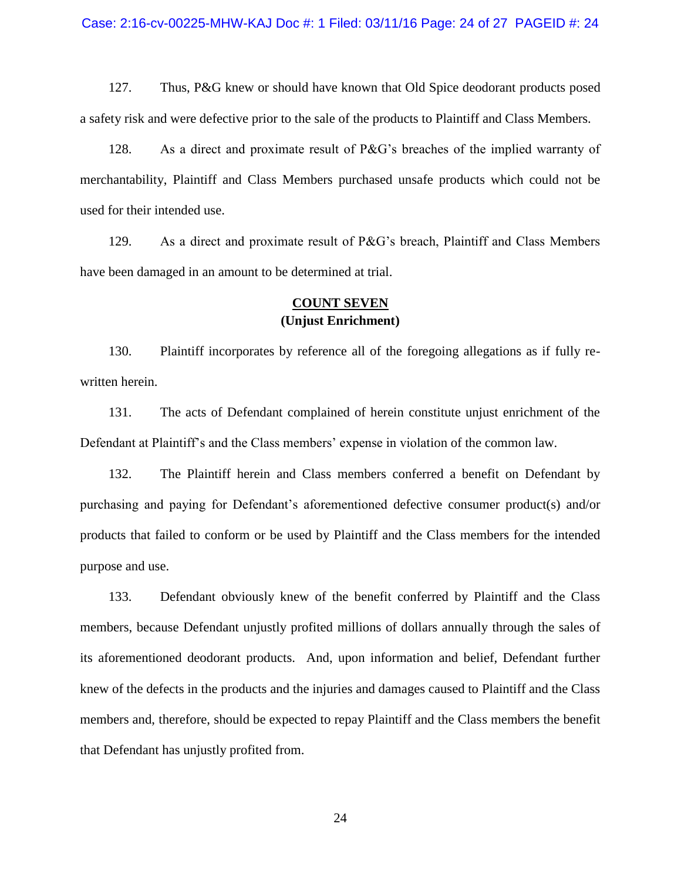127. Thus, P&G knew or should have known that Old Spice deodorant products posed a safety risk and were defective prior to the sale of the products to Plaintiff and Class Members.

128. As a direct and proximate result of P&G's breaches of the implied warranty of merchantability, Plaintiff and Class Members purchased unsafe products which could not be used for their intended use.

129. As a direct and proximate result of P&G's breach, Plaintiff and Class Members have been damaged in an amount to be determined at trial.

## **COUNT SEVEN (Unjust Enrichment)**

130. Plaintiff incorporates by reference all of the foregoing allegations as if fully rewritten herein.

131. The acts of Defendant complained of herein constitute unjust enrichment of the Defendant at Plaintiff's and the Class members' expense in violation of the common law.

132. The Plaintiff herein and Class members conferred a benefit on Defendant by purchasing and paying for Defendant's aforementioned defective consumer product(s) and/or products that failed to conform or be used by Plaintiff and the Class members for the intended purpose and use.

133. Defendant obviously knew of the benefit conferred by Plaintiff and the Class members, because Defendant unjustly profited millions of dollars annually through the sales of its aforementioned deodorant products. And, upon information and belief, Defendant further knew of the defects in the products and the injuries and damages caused to Plaintiff and the Class members and, therefore, should be expected to repay Plaintiff and the Class members the benefit that Defendant has unjustly profited from.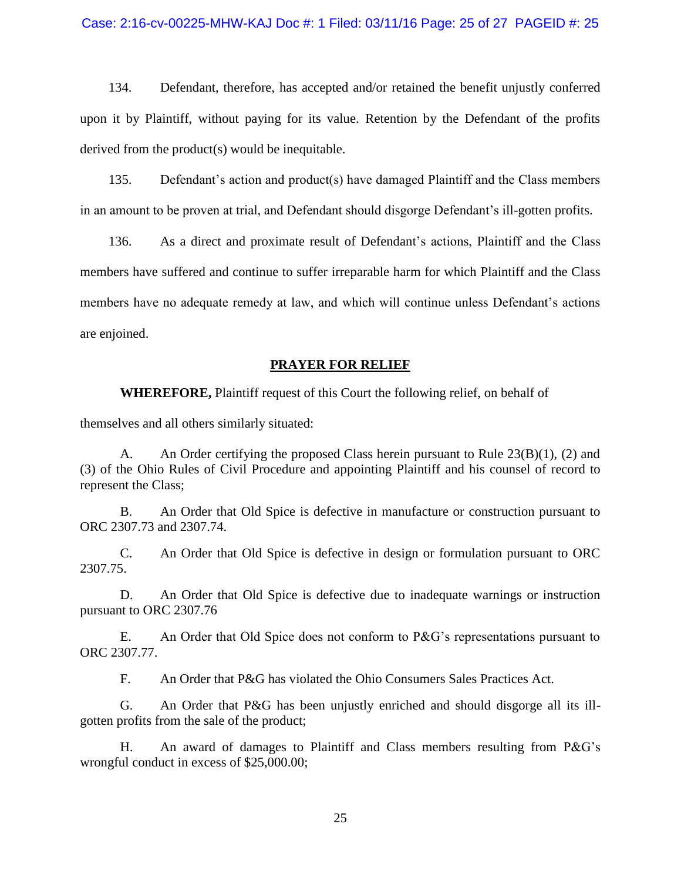#### Case: 2:16-cv-00225-MHW-KAJ Doc #: 1 Filed: 03/11/16 Page: 25 of 27 PAGEID #: 25

134. Defendant, therefore, has accepted and/or retained the benefit unjustly conferred upon it by Plaintiff, without paying for its value. Retention by the Defendant of the profits derived from the product(s) would be inequitable.

135. Defendant's action and product(s) have damaged Plaintiff and the Class members in an amount to be proven at trial, and Defendant should disgorge Defendant's ill-gotten profits.

136. As a direct and proximate result of Defendant's actions, Plaintiff and the Class members have suffered and continue to suffer irreparable harm for which Plaintiff and the Class members have no adequate remedy at law, and which will continue unless Defendant's actions are enjoined.

#### **PRAYER FOR RELIEF**

**WHEREFORE,** Plaintiff request of this Court the following relief, on behalf of

themselves and all others similarly situated:

A. An Order certifying the proposed Class herein pursuant to Rule 23(B)(1), (2) and (3) of the Ohio Rules of Civil Procedure and appointing Plaintiff and his counsel of record to represent the Class;

B. An Order that Old Spice is defective in manufacture or construction pursuant to ORC 2307.73 and 2307.74.

C. An Order that Old Spice is defective in design or formulation pursuant to ORC 2307.75.

D. An Order that Old Spice is defective due to inadequate warnings or instruction pursuant to ORC 2307.76

E. An Order that Old Spice does not conform to P&G's representations pursuant to ORC 2307.77.

F. An Order that P&G has violated the Ohio Consumers Sales Practices Act.

G. An Order that P&G has been unjustly enriched and should disgorge all its illgotten profits from the sale of the product;

H. An award of damages to Plaintiff and Class members resulting from P&G's wrongful conduct in excess of \$25,000.00;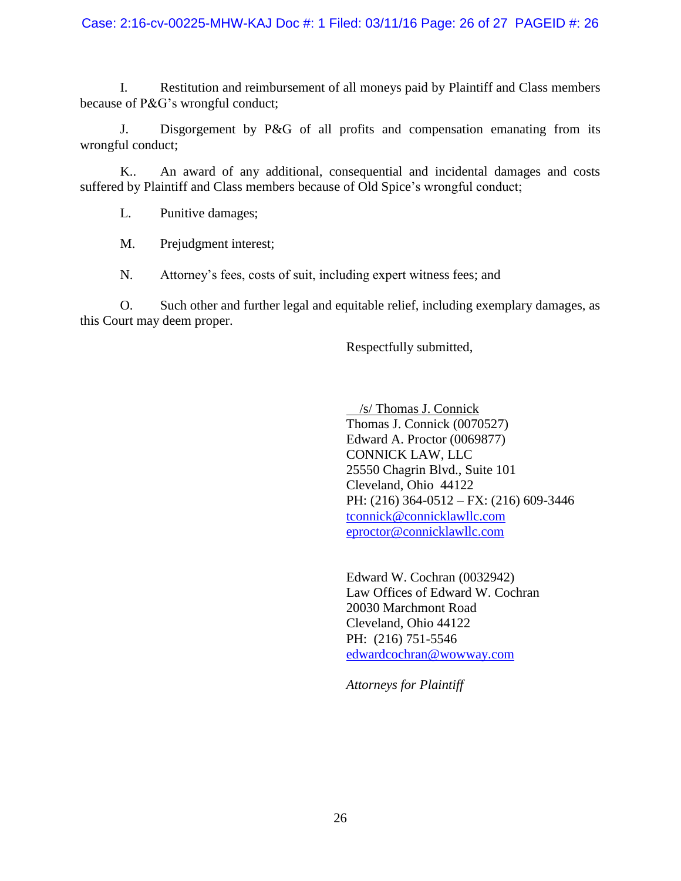### Case: 2:16-cv-00225-MHW-KAJ Doc #: 1 Filed: 03/11/16 Page: 26 of 27 PAGEID #: 26

I. Restitution and reimbursement of all moneys paid by Plaintiff and Class members because of P&G's wrongful conduct;

J. Disgorgement by P&G of all profits and compensation emanating from its wrongful conduct;

K.. An award of any additional, consequential and incidental damages and costs suffered by Plaintiff and Class members because of Old Spice's wrongful conduct;

L. Punitive damages;

M. Prejudgment interest;

N. Attorney's fees, costs of suit, including expert witness fees; and

O. Such other and further legal and equitable relief, including exemplary damages, as this Court may deem proper.

Respectfully submitted,

 /s/ Thomas J. Connick Thomas J. Connick (0070527) Edward A. Proctor (0069877) CONNICK LAW, LLC 25550 Chagrin Blvd., Suite 101 Cleveland, Ohio 44122 PH: (216) 364-0512 – FX: (216) 609-3446 [tconnick@connicklawllc.com](mailto:tconnick@connicklawllc.com) eproctor@connicklawllc.com

Edward W. Cochran (0032942) Law Offices of Edward W. Cochran 20030 Marchmont Road Cleveland, Ohio 44122 PH: (216) 751-5546 [edwardcochran@wowway.com](mailto:edwardcochran@wowway.com)

*Attorneys for Plaintiff*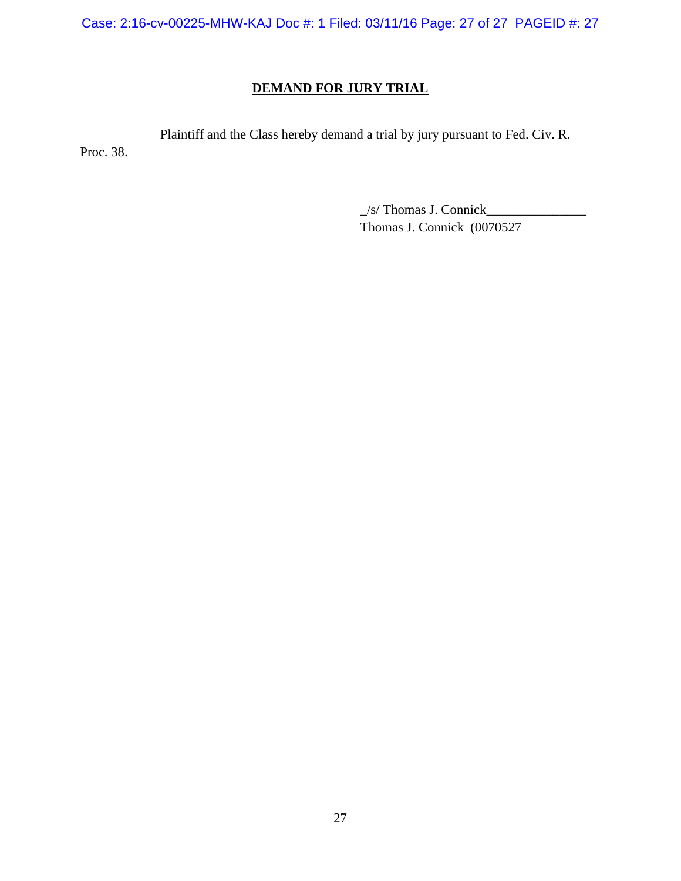Case: 2:16-cv-00225-MHW-KAJ Doc #: 1 Filed: 03/11/16 Page: 27 of 27 PAGEID #: 27

# **DEMAND FOR JURY TRIAL**

Plaintiff and the Class hereby demand a trial by jury pursuant to Fed. Civ. R.

Proc. 38.

\_/s/ Thomas J. Connick\_\_\_\_\_\_\_\_\_\_\_\_\_\_\_ Thomas J. Connick (0070527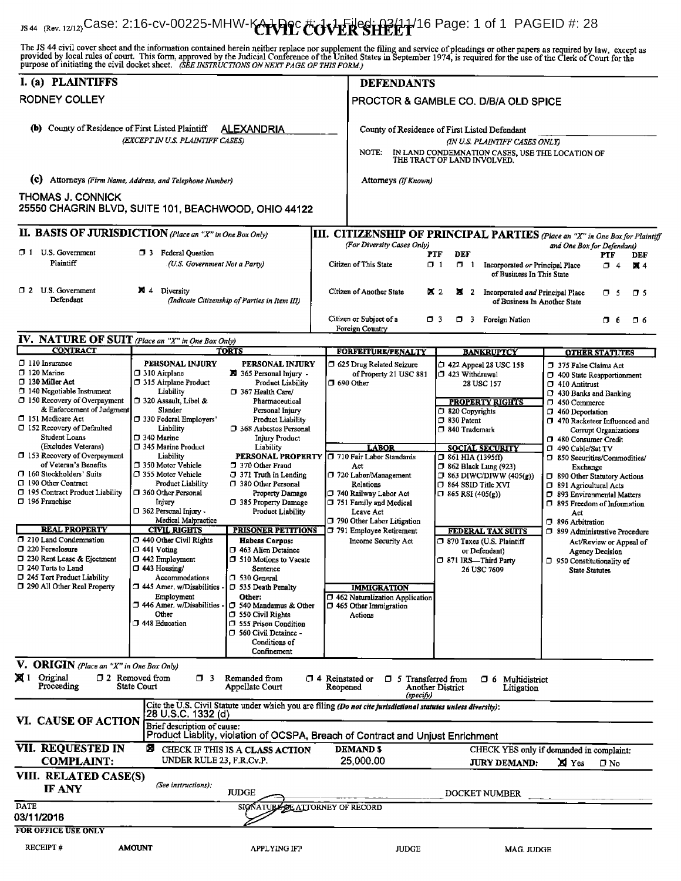Foreign Country IS 44 (Rev. 12/12)Case: 2:16-cv-00225-MHW-KARPCCCOVERSHEET<sup>16</sup> Page: 1 of 1 PAGEID #: 28 The JS 44 civil cover sheet and the information contained herein neither replace nor supplement the filing and service of pleadings or other papers as required by law, except as provided by local rules of court. This form, I. (a) PLAINTIFFS **DEFENDANTS** RODNEY COLLEY PROCTOR & GAMBLE CO. D/B/A OLD SPICE (b) County of Residence of First Listed Plaintiff ALEXANDRIA County of Residence of First Listed Defendant (EXCEPT IN U.S. PLAINTIFF CASES) (IN U.S. PLAINTIFF CASES ONLY)<br>NOTE: IN LAND CONDEMNATION CASES, USE THE LO NOTE: IN LAND CONDEMNATION CASES, USE THE LOCATION OF THE TRACT OF LAND INVOLVED. (C) Attorneys (Firm Name, Address, and Telephone Number) Attorneys (IfKnown) THOMAS J. CONNICK 25550 CHAGRIN BLVD, SUITE 101, BEACHWOOD, OHIO 44122 II. BASIS OF JURISDICTION (Place an "X" in One Box Only) III. CITIZENSHIP OF PRINCIPAL PARTIES (Place an "X" in One Box for Plaintiff (For Defendant)<br>(For Diversity Cases Only) PTF<br>(For Diversity Only) Diversity Cases Only Diversity Only) 1 U.S. Government 1 3 Federal Question 1 2 Citizen of This State 1 1 1 1 1 2 1 Incorporated or Principal Place  $\Box$  4 X 4 of Business In This State 0 2 U.S. Government **X** 4 Diversity (Indicate Citizenship of Parties in Item III) Citizen of Another State **X** 2 **X** 2 Incorporated and Principal Place **D** 5 <del>0</del> 5 Defendant (Indicate Citizenship of Parties in Item III) c Citizen or Subject of a 0 3 0 3 Foreign Nation 0 6 0 6 0 6 **NATURE OF SUIT** 

|                                                                                                                                                                                                                                                                                                                                                                                                                                                         | <b>IV.</b> INALURE OF SUIL (Place an "X" in One Box Only)                                                                                                                                                                                                                                                           |                                                                                                                                                                                                                                                                                                                                                                                           |                                                                                                                                                                                                                       |                                                                                                                                                                                                                                                                                                                                                |                                                                                                                                                                                                                                                                                                                                                                                                                           |
|---------------------------------------------------------------------------------------------------------------------------------------------------------------------------------------------------------------------------------------------------------------------------------------------------------------------------------------------------------------------------------------------------------------------------------------------------------|---------------------------------------------------------------------------------------------------------------------------------------------------------------------------------------------------------------------------------------------------------------------------------------------------------------------|-------------------------------------------------------------------------------------------------------------------------------------------------------------------------------------------------------------------------------------------------------------------------------------------------------------------------------------------------------------------------------------------|-----------------------------------------------------------------------------------------------------------------------------------------------------------------------------------------------------------------------|------------------------------------------------------------------------------------------------------------------------------------------------------------------------------------------------------------------------------------------------------------------------------------------------------------------------------------------------|---------------------------------------------------------------------------------------------------------------------------------------------------------------------------------------------------------------------------------------------------------------------------------------------------------------------------------------------------------------------------------------------------------------------------|
|                                                                                                                                                                                                                                                                                                                                                                                                                                                         |                                                                                                                                                                                                                                                                                                                     |                                                                                                                                                                                                                                                                                                                                                                                           |                                                                                                                                                                                                                       |                                                                                                                                                                                                                                                                                                                                                |                                                                                                                                                                                                                                                                                                                                                                                                                           |
| <b>CONTRACT</b><br>$\Box$ 110 Insurance<br>$\square$ 120 Marine<br>□ 130 Miller Act<br>140 Negotiable Instrument<br>$\Box$ 150 Recovery of Overpayment<br>& Enforcement of Judgment<br>151 Medicare Act<br>□ 152 Recovery of Defaulted<br>Student Loans<br>(Excludes Veterans)<br>$\Box$ 153 Recovery of Overpayment<br>of Veteran's Benefits<br>160 Stockholders' Suits<br>□ 190 Other Contract<br>□ 195 Contract Product Liability<br>□ 196 Franchise | PERSONAL INJURY<br>$\Box$ 310 Airplane<br>J 315 Airplane Product<br>Liability<br>320 Assault, Libel &<br>Slander<br>□ 330 Federal Employers'<br>Liability<br>□ 340 Marine<br>□ 345 Marine Product<br>Liability<br>□ 350 Motor Vehicle<br>□ 355 Motor Vehicle<br>Product Liability<br>□ 360 Other Personal<br>Injury | <b>TORTS</b><br>PERSONAL INJURY<br>园 365 Personal Injury -<br><b>Product Liability</b><br>1 367 Health Care/<br>Pharmaceutical<br>Personal Injury<br>Product Liability<br>368 Asbestos Personal<br><b>Injury Product</b><br>Liability<br><b>PERSONAL PROPERTY</b><br>7 370 Other Fraud<br>$\Box$ 371 Truth in Lending<br>□ 380 Other Personal<br>Property Damage<br>□ 385 Property Damage | <b>FORFEITURE/FENALTY</b><br>5 625 Drug Related Seizure<br>of Property 21 USC 881<br>1 690 Other<br><b>LABOR</b><br>710 Fair Labor Standards<br>Act<br>□ 720 Labor/Management<br>Relations<br>□ 740 Railway Labor Act | <b>BANKRUPTCY</b><br>□ 422 Appeal 28 USC 158<br>1 423 Withdrawal<br>28 USC 157<br><u>PROPERTY RIGHTS</u><br>1 820 Copyrights<br>□ 830 Patent<br>7 840 Trademark<br><b>SOCIAL SECURITY</b><br>$\Box$ 861 HIA (1395ff)<br><b>1 862 Black Lung (923)</b><br>$\Box$ 863 DIWC/DIWW (405(g))<br>$\Box$ 864 SSID Title XVI<br>$\Box$ 865 RSI (405(g)) | <b>OTHER STATUTES</b><br>7 375 False Claims Act<br>1 400 State Reapportionment<br><sup>1</sup> 410 Antitrust<br>7 430 Banks and Banking<br>□ 450 Commerce<br>7 460 Deportation<br>470 Racketeer Influenced and<br>Corrupt Organizations<br>480 Consumer Credit<br>C 490 Cable/Sat TV<br>□ 850 Securities/Commodities/<br>Exchange<br>□ 890 Other Statutory Actions<br>□ 891 Agricultural Acts<br>93 Environmental Matters |
| <b>REAL PROPERTY</b><br>1 210 Land Condemnation                                                                                                                                                                                                                                                                                                                                                                                                         | $\square$ 362 Personal Injury -<br>Medical Malpractice<br><b>CIVIL RIGHTS</b><br>440 Other Civil Rights                                                                                                                                                                                                             | Product Liability<br><b>PRISONER PETITIONS</b><br><b>Habeas Corpus:</b>                                                                                                                                                                                                                                                                                                                   | 751 Family and Medical<br>Leave Act<br>790 Other Labor Litigation<br>791 Employee Retirement<br>Income Security Act                                                                                                   | <b>FEDERAL TAX SUITS</b><br>$\Box$ 870 Taxes (U.S. Plaintiff                                                                                                                                                                                                                                                                                   | □ 895 Freedom of Information<br>Act<br><sup>396</sup> Arbitration<br>7 899 Administrative Procedure                                                                                                                                                                                                                                                                                                                       |
| □ 220 Foreclosure<br>□ 230 Rent Lease & Ejectment<br>□ 240 Torts to Land<br>□ 245 Tort Product Liability<br>[ 290 All Other Real Property                                                                                                                                                                                                                                                                                                               | $\square$ 441 Voting<br>$\square$ 442 Employment<br>$\Box$ 443 Housing/<br>Accommodations<br>□ 445 Amer. w/Disabilities<br>Employment<br>446 Amer. w/Disabilities<br>Other<br>□ 448 Education                                                                                                                       | □ 463 Alien Detainee<br>□ 510 Motions to Vacate<br>Sentence<br>□ 530 General<br>□ 535 Death Penalty<br>Other:<br>□ 540 Mandamus & Other<br>$\Box$ 550 Civil Rights<br>555 Prison Condition<br>□ 560 Civil Detainee -<br>Conditions of<br>Confinement                                                                                                                                      | <b>IMMIGRATION</b><br>1 462 Naturalization Application<br>$\Box$ 465 Other Immigration<br>Actions                                                                                                                     | or Defendant)<br>□ 871 IRS-Third Party<br>26 USC 7609                                                                                                                                                                                                                                                                                          | Act/Review or Appeal of<br><b>Agency Decision</b><br>950 Constitutionality of<br><b>State Statutes</b>                                                                                                                                                                                                                                                                                                                    |
| V. ORIGIN (Place an "X" in One Box Only)                                                                                                                                                                                                                                                                                                                                                                                                                |                                                                                                                                                                                                                                                                                                                     |                                                                                                                                                                                                                                                                                                                                                                                           |                                                                                                                                                                                                                       |                                                                                                                                                                                                                                                                                                                                                |                                                                                                                                                                                                                                                                                                                                                                                                                           |
| <b>図</b> 1 Original<br>$\Box$ 2 Removed from<br>$\Box$ 3<br>Remanded from<br>$\Box$ 4 Reinstated or<br>□ 5 Transferred from<br>O 6.<br>Multidistrict<br>Proceeding<br>State Court<br>Appellate Court<br>Reopened<br>Another District<br>Litigation<br>(specify)                                                                                                                                                                                         |                                                                                                                                                                                                                                                                                                                     |                                                                                                                                                                                                                                                                                                                                                                                           |                                                                                                                                                                                                                       |                                                                                                                                                                                                                                                                                                                                                |                                                                                                                                                                                                                                                                                                                                                                                                                           |
| Cite the U.S. Civil Statute under which you are filing (Do not cite jurisdictional statutes unless diversity):<br>28 U.S.C. 1332 (d)<br>VI. CAUSE OF ACTION<br>Brief description of cause:<br>Product Liablity, violation of OCSPA, Breach of Contract and Unjust Enrichment                                                                                                                                                                            |                                                                                                                                                                                                                                                                                                                     |                                                                                                                                                                                                                                                                                                                                                                                           |                                                                                                                                                                                                                       |                                                                                                                                                                                                                                                                                                                                                |                                                                                                                                                                                                                                                                                                                                                                                                                           |
| <b>VII. REQUESTED IN</b>                                                                                                                                                                                                                                                                                                                                                                                                                                | Я                                                                                                                                                                                                                                                                                                                   | CHECK IF THIS IS A CLASS ACTION                                                                                                                                                                                                                                                                                                                                                           | <b>DEMANDS</b>                                                                                                                                                                                                        |                                                                                                                                                                                                                                                                                                                                                | CHECK YES only if demanded in complaint:                                                                                                                                                                                                                                                                                                                                                                                  |
| <b>COMPLAINT:</b>                                                                                                                                                                                                                                                                                                                                                                                                                                       | UNDER RULE 23, F.R.Cv.P.                                                                                                                                                                                                                                                                                            |                                                                                                                                                                                                                                                                                                                                                                                           | 25,000.00                                                                                                                                                                                                             | <b>JURY DEMAND:</b>                                                                                                                                                                                                                                                                                                                            | XI Yes<br>$\Box$ No                                                                                                                                                                                                                                                                                                                                                                                                       |
| VIII. RELATED CASE(S)                                                                                                                                                                                                                                                                                                                                                                                                                                   |                                                                                                                                                                                                                                                                                                                     |                                                                                                                                                                                                                                                                                                                                                                                           |                                                                                                                                                                                                                       |                                                                                                                                                                                                                                                                                                                                                |                                                                                                                                                                                                                                                                                                                                                                                                                           |
| <b>IF ANY</b>                                                                                                                                                                                                                                                                                                                                                                                                                                           | (See instructions):                                                                                                                                                                                                                                                                                                 | <b>JUDGE</b>                                                                                                                                                                                                                                                                                                                                                                              |                                                                                                                                                                                                                       | <b>DOCKET NUMBER</b>                                                                                                                                                                                                                                                                                                                           |                                                                                                                                                                                                                                                                                                                                                                                                                           |
| <b>DATE</b><br>SIGNATURE OF ATTORNEY OF RECORD<br>03/11/2016                                                                                                                                                                                                                                                                                                                                                                                            |                                                                                                                                                                                                                                                                                                                     |                                                                                                                                                                                                                                                                                                                                                                                           |                                                                                                                                                                                                                       |                                                                                                                                                                                                                                                                                                                                                |                                                                                                                                                                                                                                                                                                                                                                                                                           |
| <b>FOR OFFICE USE ONLY</b>                                                                                                                                                                                                                                                                                                                                                                                                                              |                                                                                                                                                                                                                                                                                                                     |                                                                                                                                                                                                                                                                                                                                                                                           |                                                                                                                                                                                                                       |                                                                                                                                                                                                                                                                                                                                                |                                                                                                                                                                                                                                                                                                                                                                                                                           |
| <b>RECEIPT#</b>                                                                                                                                                                                                                                                                                                                                                                                                                                         | <b>AMOUNT</b>                                                                                                                                                                                                                                                                                                       | <b>APPLYING IFP</b>                                                                                                                                                                                                                                                                                                                                                                       | <b>JUDGE</b>                                                                                                                                                                                                          | MAG. JUDGE                                                                                                                                                                                                                                                                                                                                     |                                                                                                                                                                                                                                                                                                                                                                                                                           |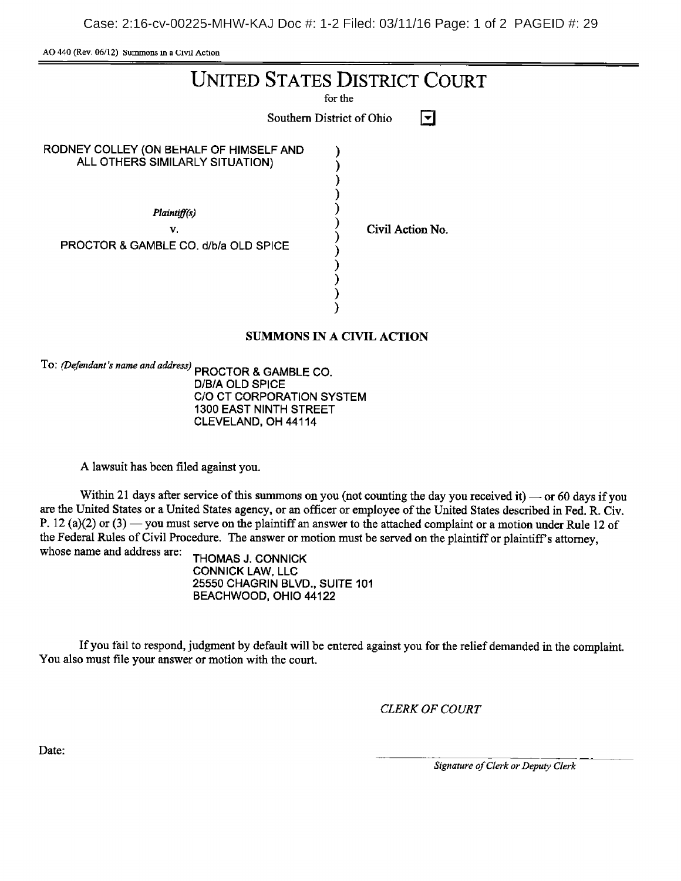AO 440 (Rev. 06/12) Summons in <sup>a</sup> Civil Action

| <b>UNITED STATES DISTRICT COURT</b><br>for the<br>Southern District of Ohio                                                              |                  |  |  |  |
|------------------------------------------------------------------------------------------------------------------------------------------|------------------|--|--|--|
| RODNEY COLLEY (ON BEHALF OF HIMSELF AND<br>ALL OTHERS SIMILARLY SITUATION)<br>Plaintiff(s)<br>v.<br>PROCTOR & GAMBLE CO, d/b/a OLD SPICE | Civil Action No. |  |  |  |
| <b>SUMMONS IN A CIVIL ACTION</b>                                                                                                         |                  |  |  |  |

To: (Defendant's name and address) PROCTOR & GAMBLE CO.

D/B/A OLD SPICE C/O CT CORPORATION SYSTEM 1300 EAST NINTH STREET CLEVELAND, OH 44114

A lawsuit has been filed against you.

Within 21 days after service of this summons on you (not counting the day you received it)  $\sim$  or 60 days if you are the United States or a United States agency, or an officer or employee of the United States described in Fed. R. Civ. P. 12 (a)(2) or (3) — you must serve on the plaintiff an answer to the attached complaint or a motion under Rule 12 of the Federal Rules of Civil Procedure. The answer or motion must be served on the plaintiff or plaintiff's attorney, whose name and address are:  $T(0.1122)$ 

THOMAS J. CONNICK **CONNICK LAW, LLC** 25550 CHAGRIN BLVD., SUITE 101 BEACHWOOD, OHIO 44122

Ifyou fail to respond, judgment by default will be entered against you for the relief demanded in the complaint. You also must file your answer or motion with the court.

CLERK OF COURT

Date:

Signature of Clerk or Deputy Clerk